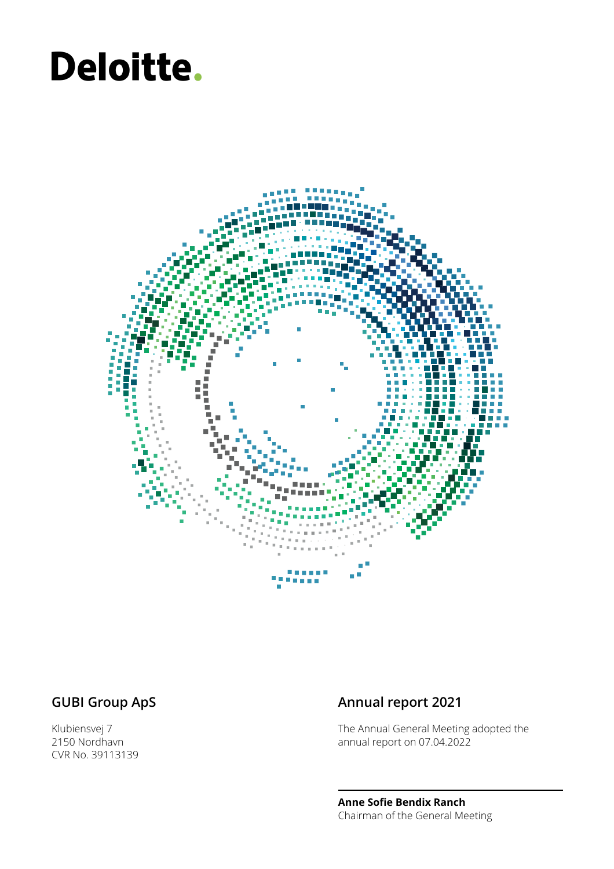# Deloitte.



Klubiensvej 7 2150 Nordhavn CVR No. 39113139

### **GUBI Group ApS Annual report 2021**

The Annual General Meeting adopted the annual report on 07.04.2022

**Anne Sofie Bendix Ranch** Chairman of the General Meeting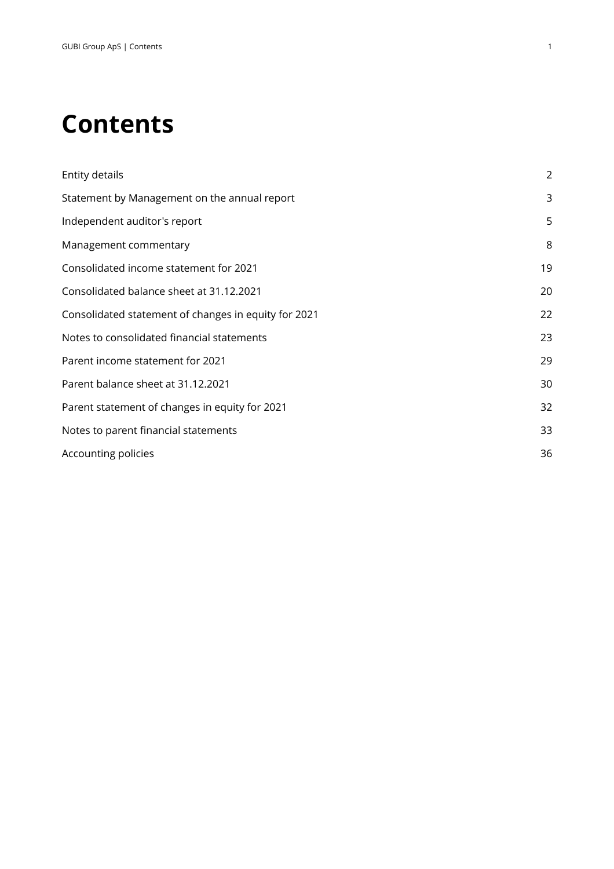### **Contents**

| Entity details                                       | $\overline{2}$ |
|------------------------------------------------------|----------------|
| Statement by Management on the annual report         | 3              |
| Independent auditor's report                         | 5              |
| Management commentary                                | 8              |
| Consolidated income statement for 2021               | 19             |
| Consolidated balance sheet at 31.12.2021             | 20             |
| Consolidated statement of changes in equity for 2021 | 22             |
| Notes to consolidated financial statements           | 23             |
| Parent income statement for 2021                     | 29             |
| Parent balance sheet at 31.12.2021                   | 30             |
| Parent statement of changes in equity for 2021       | 32             |
| Notes to parent financial statements                 | 33             |
| Accounting policies                                  | 36             |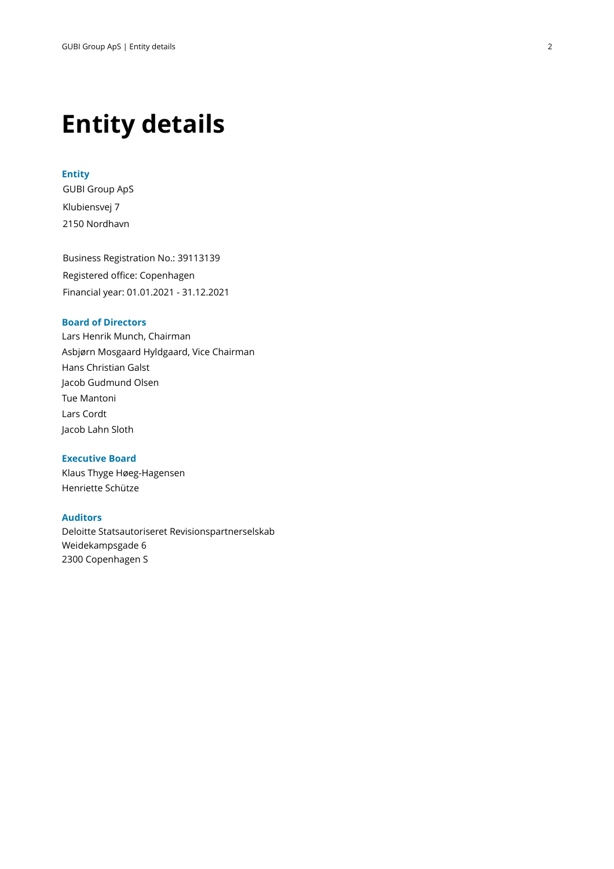### **Entity details**

#### **Entity**

GUBI Group ApS Klubiensvej 7 2150 Nordhavn

Business Registration No.: 39113139 Registered office: Copenhagen Financial year: 01.01.2021 - 31.12.2021

#### **Board of Directors**

Lars Henrik Munch, Chairman Asbjørn Mosgaard Hyldgaard, Vice Chairman Hans Christian Galst Jacob Gudmund Olsen Tue Mantoni Lars Cordt Jacob Lahn Sloth

#### **Executive Board**

Klaus Thyge Høeg-Hagensen Henriette Schütze

#### **Auditors**

Deloitte Statsautoriseret Revisionspartnerselskab Weidekampsgade 6 2300 Copenhagen S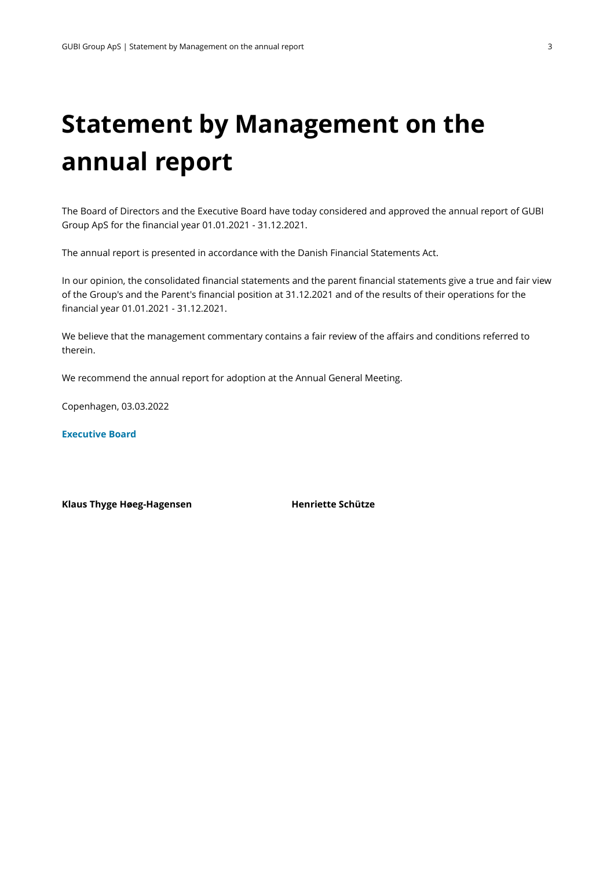## **Statement by Management on the annual report**

The Board of Directors and the Executive Board have today considered and approved the annual report of GUBI Group ApS for the financial year 01.01.2021 - 31.12.2021.

The annual report is presented in accordance with the Danish Financial Statements Act.

In our opinion, the consolidated financial statements and the parent financial statements give a true and fair view of the Group's and the Parent's financial position at 31.12.2021 and of the results of their operations for the financial year 01.01.2021 - 31.12.2021.

We believe that the management commentary contains a fair review of the affairs and conditions referred to therein.

We recommend the annual report for adoption at the Annual General Meeting.

Copenhagen, 03.03.2022

**Executive Board**

**Klaus Thyge Høeg-Hagensen Henriette Schütze**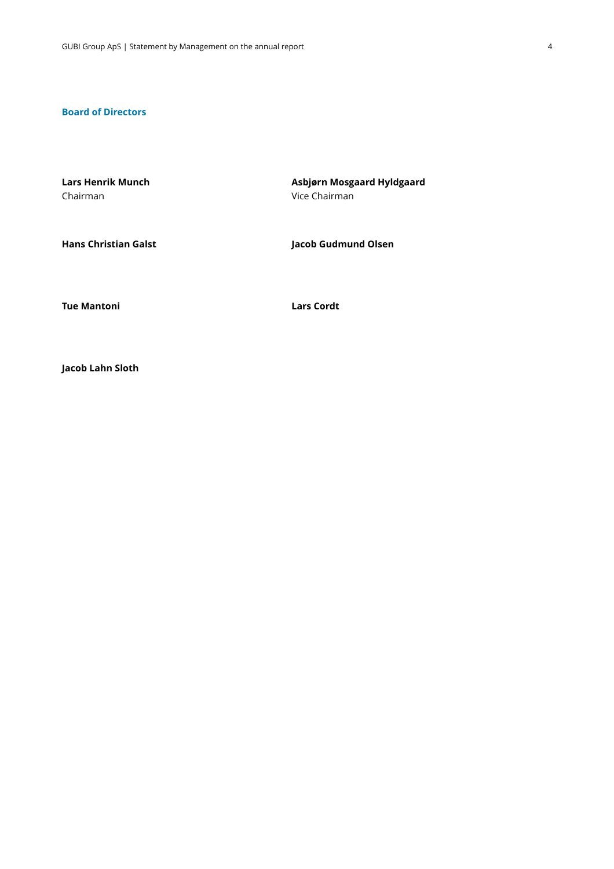#### **Board of Directors**

**Lars Henrik Munch** Chairman **Asbjørn Mosgaard Hyldgaard** Vice Chairman

**Hans Christian Galst Jacob Gudmund Olsen**

**Tue Mantoni Lars Cordt**

**Jacob Lahn Sloth**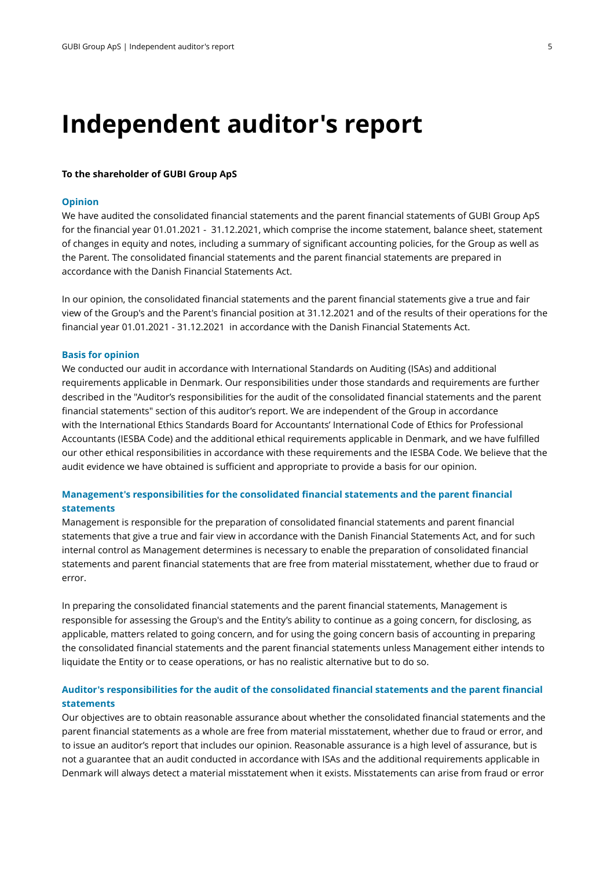### **Independent auditor's report**

#### **To the shareholder of GUBI Group ApS**

#### **Opinion**

We have audited the consolidated financial statements and the parent financial statements of GUBI Group ApS for the financial year 01.01.2021 - 31.12.2021, which comprise the income statement, balance sheet, statement of changes in equity and notes, including a summary of significant accounting policies, for the Group as well as the Parent. The consolidated financial statements and the parent financial statements are prepared in accordance with the Danish Financial Statements Act.

In our opinion, the consolidated financial statements and the parent financial statements give a true and fair view of the Group's and the Parent's financial position at 31.12.2021 and of the results of their operations for the financial year 01.01.2021 - 31.12.2021 in accordance with the Danish Financial Statements Act.

#### **Basis for opinion**

We conducted our audit in accordance with International Standards on Auditing (ISAs) and additional requirementsapplicable in Denmark. Our responsibilities under those standards and requirements are further described in the "Auditor's responsibilities for the audit of the consolidated financial statements and the parent financial statements" section of this auditor's report. We are independent of the Group in accordance with the International Ethics Standards Board for Accountants' International Code of Ethics for Professional Accountants (IESBA Code) and the additional ethical requirements applicable in Denmark, and we have fulfilled our other ethical responsibilities in accordance with these requirements and the IESBA Code. We believe that the audit evidence we have obtained is sufficient and appropriate to provide a basis for our opinion.

#### **Management's responsibilities for the consolidated financial statements and the parent financial statements**

Management is responsible for the preparation of consolidated financial statements and parent financial statements that give a true and fair view in accordancewith the Danish Financial Statements Act, and for such internal control as Management determines is necessary to enable the preparation of consolidated financial statements and parent financial statements that are free from material misstatement, whether due to fraud or error.

In preparing the consolidated financial statements and the parent financial statements, Management is responsible for assessing the Group's and the Entity's ability to continue as a going concern, for disclosing, as applicable, matters related to going concern, and for using the going concern basis of accounting in preparing the consolidated financial statements and the parent financial statements unless Management either intends to liquidate the Entity or to cease operations, or has no realistic alternative but to do so.

#### **Auditor's responsibilities for the audit of the consolidated financial statements and the parent financial statements**

Our objectives are to obtain reasonable assurance about whether the consolidated financial statements and the parent financial statements as a whole are free from material misstatement, whether due to fraud or error, and to issue an auditor's report that includes our opinion. Reasonable assurance is a high level of assurance, but is not a guarantee that an audit conducted in accordance with ISAs and the additional requirements applicable in Denmark will always detect a material misstatement when it exists. Misstatements can arise from fraud or error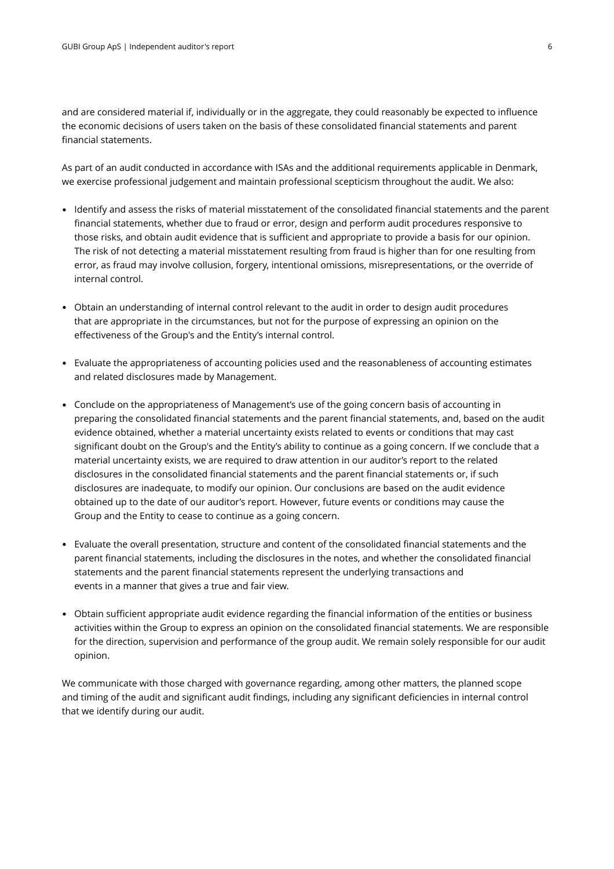and are considered material if, individually or in the aggregate, they could reasonably be expected to influence the economic decisions of users taken on the basis of these consolidated financial statements and parent financial statements.

As part of an audit conducted in accordance with ISAs and the additional requirements applicable in Denmark, we exercise professional judgement and maintain professional scepticism throughout the audit. We also:

- Identify and assess the risks of material misstatement of the consolidated financial statements and the parent financial statements, whether due to fraud or error, design and perform audit procedures responsive to those risks, and obtain audit evidence that is sufficient and appropriate to provide a basis for our opinion. The risk of not detecting a material misstatement resulting from fraud is higher than for one resulting from error, as fraud may involve collusion, forgery, intentional omissions, misrepresentations, or the override of internal control.
- Obtain an understanding of internal control relevant to the audit in order to design audit procedures that are appropriate in the circumstances, but not for the purpose of expressing an opinion on the effectiveness of the Group's and the Entity's internal control.
- Evaluate the appropriateness of accounting policies used and the reasonableness of accounting estimates and related disclosures made by Management.
- Conclude on the appropriateness of Management's use of the going concern basis of accounting in preparing the consolidated financial statements and the parent financial statements, and, based on the audit evidence obtained, whether a material uncertainty exists related to events or conditions that may cast significant doubt on the Group's and the Entity's ability to continue as a going concern. If we conclude that a material uncertainty exists, we are required to draw attention in our auditor's report to the related disclosures in the consolidated financial statements and the parent financial statements or, if such disclosures are inadequate, to modify our opinion. Our conclusions are based on the audit evidence obtained up to the date of our auditor's report. However, future events or conditions may cause the Group and the Entity to cease to continue as a going concern.
- Evaluate the overall presentation, structure and content of the consolidated financial statements and the parent financial statements, including the disclosures in the notes, and whether the consolidated financial statements and the parent financial statements represent the underlying transactions and events in a manner that gives a true and fair view.
- Obtain sufficient appropriate audit evidence regarding the financial information of the entities or business activities within the Group to express an opinion on the consolidated financial statements. We are responsible for the direction, supervision and performance of the group audit. We remain solely responsible for our audit opinion.

We communicate with those charged with governance regarding, among other matters, the planned scope and timing of the audit and significant audit findings, including any significant deficiencies in internal control that we identify during our audit.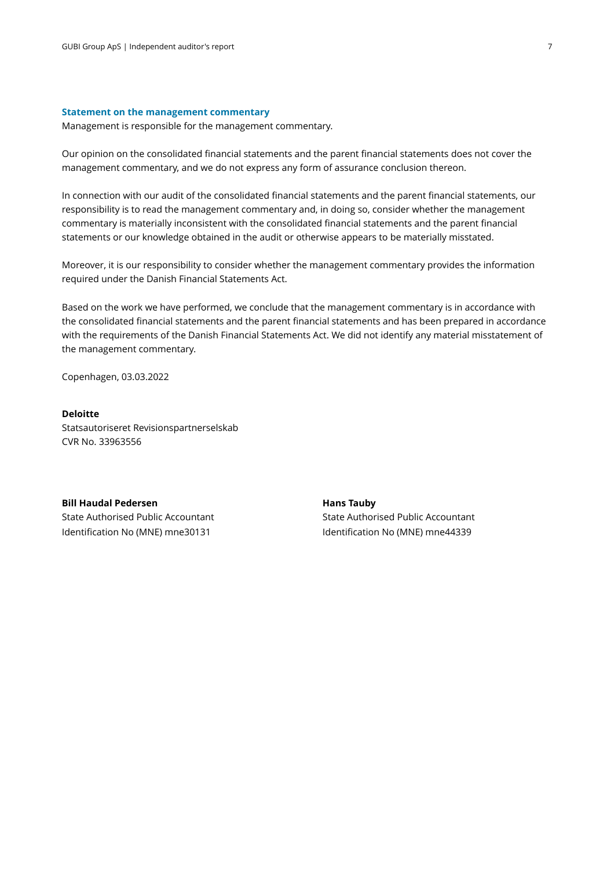#### **Statement on the management commentary**

Management is responsible for the management commentary.

Our opinion on the consolidated financial statements and the parent financial statements does not cover the management commentary, and we do not express any form of assurance conclusion thereon.

In connection with our audit of the consolidated financial statements and the parent financial statements, our responsibility is to read the management commentary and, in doing so, consider whether the management commentary is materially inconsistent with the consolidated financial statements and the parent financial statements or our knowledge obtained in the audit or otherwise appears to be materiallymisstated.

Moreover, it is our responsibility to consider whether the management commentary provides the information required under the Danish Financial Statements Act.

Based on the work we have performed, we conclude that the management commentary is in accordance with the consolidated financial statements and the parent financial statements and has been prepared in accordance with the requirements of the Danish Financial Statements Act. We did not identify any material misstatement of the management commentary.

Copenhagen, 03.03.2022

#### **Deloitte**

Statsautoriseret Revisionspartnerselskab CVR No. 33963556

**Bill Haudal Pedersen** State Authorised Public Accountant Identification No (MNE) mne30131

**Hans Tauby** State Authorised Public Accountant Identification No (MNE) mne44339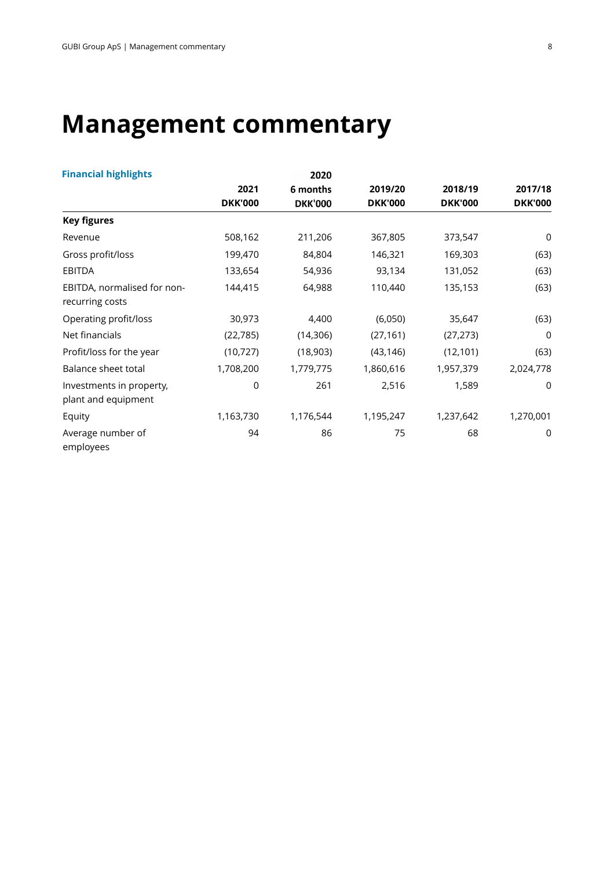## **Management commentary**

| <b>Financial highlights</b>                     |                | 2020           |                |                |                |
|-------------------------------------------------|----------------|----------------|----------------|----------------|----------------|
|                                                 | 2021           | 6 months       | 2019/20        | 2018/19        | 2017/18        |
|                                                 | <b>DKK'000</b> | <b>DKK'000</b> | <b>DKK'000</b> | <b>DKK'000</b> | <b>DKK'000</b> |
| <b>Key figures</b>                              |                |                |                |                |                |
| Revenue                                         | 508,162        | 211,206        | 367,805        | 373,547        | 0              |
| Gross profit/loss                               | 199,470        | 84,804         | 146,321        | 169,303        | (63)           |
| <b>EBITDA</b>                                   | 133,654        | 54,936         | 93,134         | 131,052        | (63)           |
| EBITDA, normalised for non-<br>recurring costs  | 144,415        | 64,988         | 110,440        | 135,153        | (63)           |
| Operating profit/loss                           | 30,973         | 4,400          | (6,050)        | 35,647         | (63)           |
| Net financials                                  | (22, 785)      | (14,306)       | (27, 161)      | (27, 273)      | 0              |
| Profit/loss for the year                        | (10, 727)      | (18,903)       | (43, 146)      | (12, 101)      | (63)           |
| Balance sheet total                             | 1,708,200      | 1,779,775      | 1,860,616      | 1,957,379      | 2,024,778      |
| Investments in property,<br>plant and equipment | 0              | 261            | 2,516          | 1,589          | 0              |
| Equity                                          | 1,163,730      | 1,176,544      | 1,195,247      | 1,237,642      | 1,270,001      |
| Average number of<br>employees                  | 94             | 86             | 75             | 68             | 0              |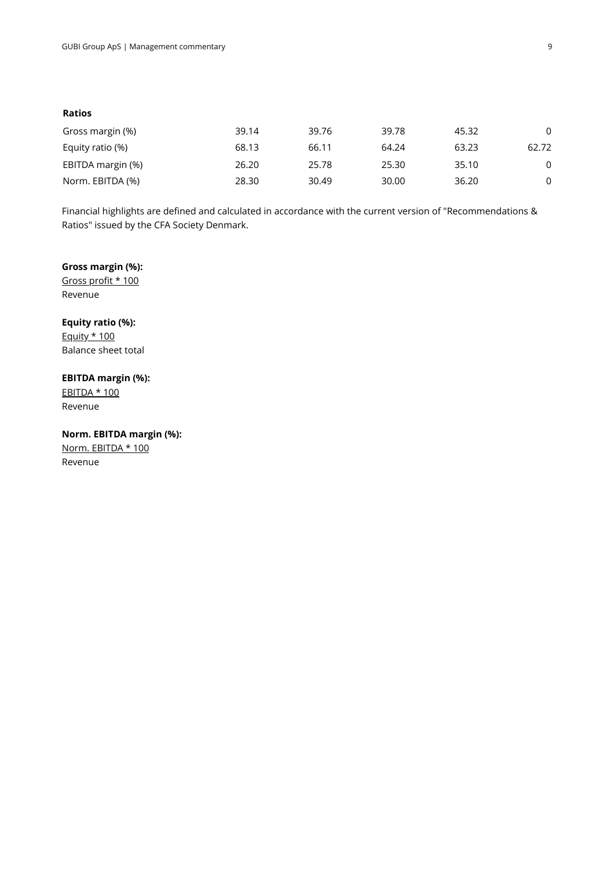#### **Ratios**

| Gross margin (%)  | 39.14 | 39.76 | 39.78 | 45.32 | $\Omega$ |
|-------------------|-------|-------|-------|-------|----------|
| Equity ratio (%)  | 68.13 | 66.11 | 64.24 | 63.23 | 62.72    |
| EBITDA margin (%) | 26.20 | 25.78 | 25.30 | 35.10 | $\Omega$ |
| Norm. EBITDA (%)  | 28.30 | 30.49 | 30.00 | 36.20 | $\Omega$ |

Financial highlights are defined and calculated in accordance with the current version of "Recommendations & Ratios" issued by the CFA Society Denmark.

#### **Gross margin (%):**

Gross profit \* 100 Revenue

**Equity ratio (%) :** Equity \* 100

Balance sheet total

#### **EBITDA margin (%):**

EBITDA \* 100 Revenue

**Norm. EBITDA margin (%):** Norm. EBITDA \* 100 Revenue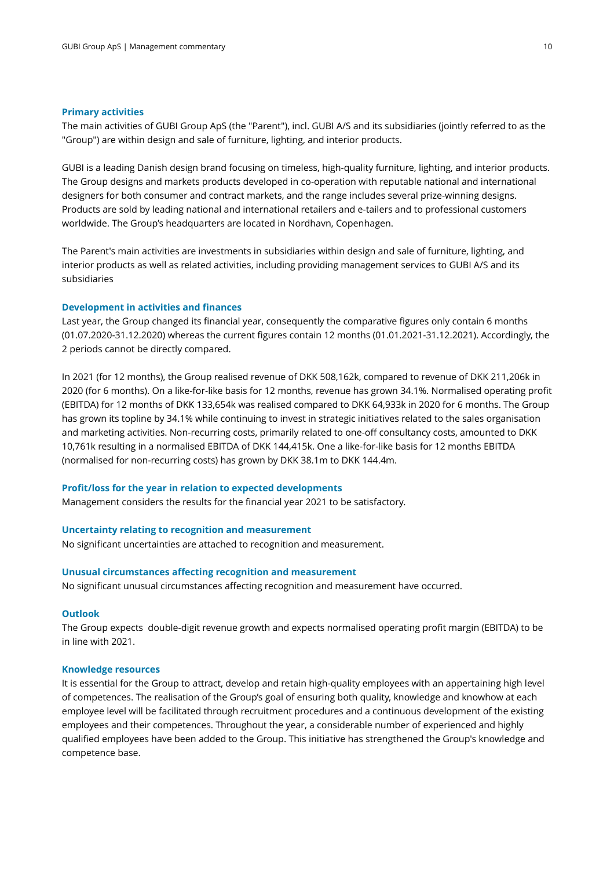#### **Primary activities**

The main activities of GUBI Group ApS (the "Parent"), incl. GUBI A/S and its subsidiaries (jointly referred to as the "Group") are within design and sale of furniture, lighting, and interior products.

GUBI is a leading Danish design brand focusing on timeless, high-quality furniture, lighting, and interior products. The Group designs and markets products developed in co-operation with reputable national and international designers for both consumer and contract markets, and the range includes several prize-winning designs. Products are sold by leading national and international retailers and e-tailers and to professional customers worldwide. The Group's headquarters are located in Nordhavn, Copenhagen.

The Parent's main activities are investments in subsidiaries within design and sale of furniture, lighting, and interior products as well as related activities, including providing management services to GUBI A/S and its subsidiaries

#### **Development in activities and finances**

Last year, the Group changed its financial year, consequently the comparative figures only contain 6 months (01.07.2020-31.12.2020) whereas the current figures contain 12 months (01.01.2021-31.12.2021). Accordingly, the 2 periods cannot be directly compared.

In 2021 (for 12 months), the Group realised revenue of DKK 508,162k, compared to revenue of DKK 211,206k in 2020 (for 6 months). On a like-for-like basis for 12 months, revenue has grown 34.1%. Normalised operating profit (EBITDA) for 12 months of DKK 133,654k was realised compared to DKK 64,933k in 2020 for 6 months. The Group has grown its topline by 34.1% while continuing to invest in strategic initiatives related to the sales organisation and marketing activities. Non-recurring costs, primarily related to one-off consultancy costs, amounted to DKK 10,761k resulting in a normalised EBITDA of DKK 144,415k. One a like-for-like basis for 12 months EBITDA (normalised for non-recurring costs) has grown by DKK 38.1m to DKK 144.4m.

#### **Profit/loss for the year in relation to expected developments**

Management considers the results for the financial year 2021 to be satisfactory.

#### **Uncertainty relating to recognition and measurement**

No significant uncertainties are attached to recognition and measurement.

#### **Unusual circumstances affecting recognition and measurement**

No significant unusual circumstances affecting recognition and measurement have occurred.

#### **Outlook**

The Group expects double-digit revenue growth and expects normalised operating profit margin (EBITDA) to be in line with 2021.

#### **Knowledge resources**

It is essential for the Group to attract, develop and retain high-quality employees with an appertaining high level of competences. The realisation of the Group's goal of ensuring both quality, knowledge and knowhow at each employee level will be facilitated through recruitment procedures and a continuous development of the existing employees and their competences. Throughout the year, a considerable number of experienced and highly qualified employees have been added to the Group. This initiative has strengthened the Group's knowledge and competence base.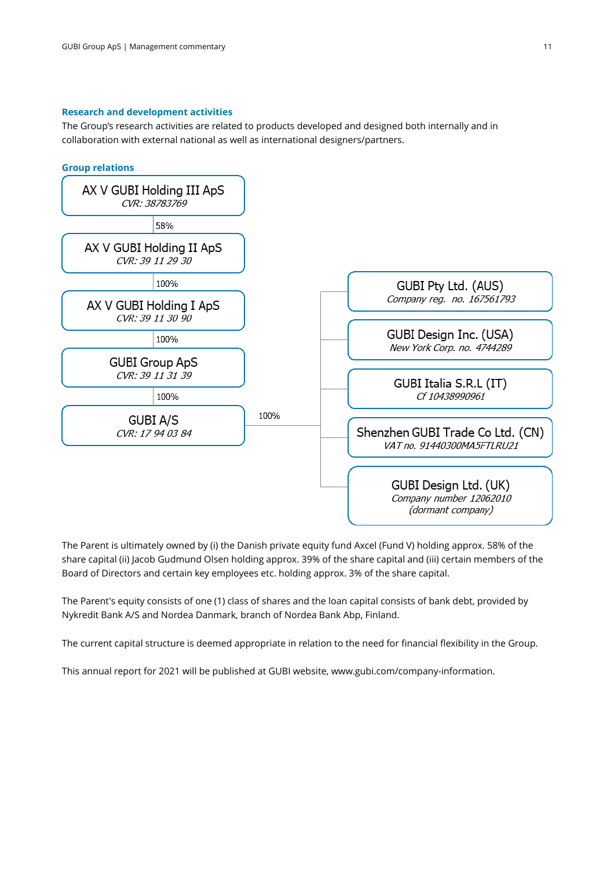#### **Research and development activities**

The Group's research activities are related to products developed and designed both internally and in collaboration with external national as well as international designers/partners.



The Parent is ultimately owned by (i) the Danish private equity fund Axcel (Fund V) holding approx. 58% of the share capital (ii) Jacob Gudmund Olsen holding approx. 39% of the share capital and (iii) certain members of the Board of Directors and certain key employees etc. holding approx. 3% of the share capital.

The Parent's equity consists of one (1) class of shares and the loan capital consists of bank debt, provided by Nykredit Bank A/S and Nordea Danmark, branch of Nordea Bank Abp, Finland.

The current capital structure is deemed appropriate in relation to the need for financial flexibility in the Group.

This annual report for 2021 will be published at GUBI website, www.gubi.com/company-information.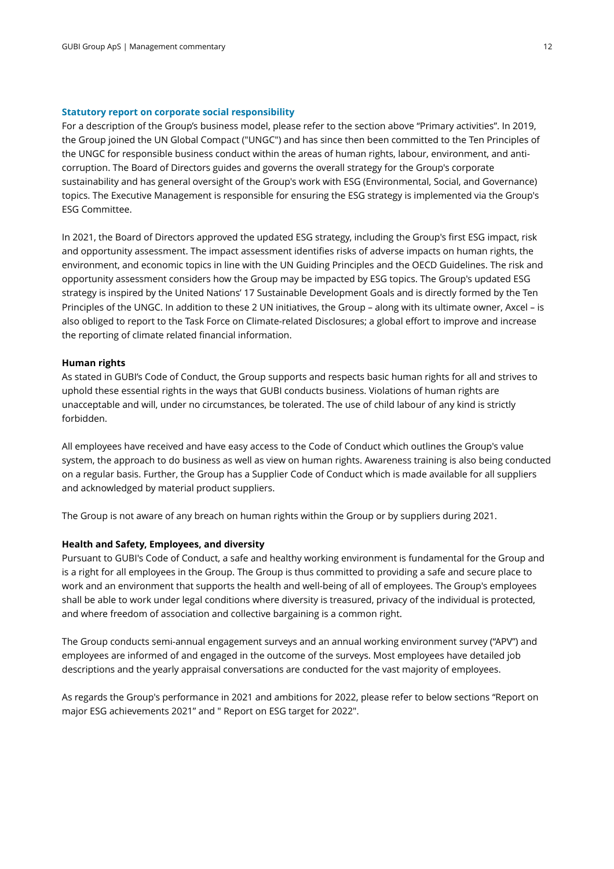#### **Statutory report on corporate social responsibility**

For a description of the Group's business model, please refer to the section above "Primary activities". In 2019, the Group joined the UN Global Compact ("UNGC") and has since then been committed to the Ten Principles of the UNGC for responsible business conduct within the areas of human rights, labour, environment, and anticorruption. The Board of Directors guides and governs the overall strategy for the Group's corporate sustainability and has general oversight of the Group's work with ESG (Environmental, Social, and Governance) topics. The Executive Management is responsible for ensuring the ESG strategy is implemented via the Group's ESG Committee.

In 2021, the Board of Directors approved the updated ESG strategy, including the Group's first ESG impact, risk and opportunity assessment. The impact assessment identifies risks of adverse impacts on human rights, the environment, and economic topics in line with the UN Guiding Principles and the OECD Guidelines. The risk and opportunity assessment considers how the Group may be impacted by ESG topics. The Group's updated ESG strategy is inspired by the United Nations' 17 Sustainable Development Goals and is directly formed by the Ten Principles of the UNGC. In addition to these 2 UN initiatives, the Group – along with its ultimate owner, Axcel – is also obliged to report to the Task Force on Climate-related Disclosures; a global effort to improve and increase the reporting of climate related financial information.

#### **Human rights**

As stated in GUBI's Code of Conduct, the Group supports and respects basic human rights for all and strives to uphold these essential rights in the ways that GUBI conducts business. Violations of human rights are unacceptable and will, under no circumstances, be tolerated. The use of child labour of any kind is strictly forbidden.

All employees have received and have easy access to the Code of Conduct which outlines the Group's value system, the approach to do business as well as view on human rights. Awareness training is also being conducted on a regular basis. Further, the Group has a Supplier Code of Conduct which is made available for all suppliers and acknowledged by material product suppliers.

The Group is not aware of any breach on human rights within the Group or by suppliers during 2021.

#### **Health and Safety, Employees, and diversity**

Pursuant to GUBI's Code of Conduct, a safe and healthy working environment is fundamental for the Group and is a right for all employees in the Group. The Group is thus committed to providing a safe and secure place to work and an environment that supports the health and well-being of all of employees. The Group's employees shall be able to work under legal conditions where diversity is treasured, privacy of the individual is protected, and where freedom of association and collective bargaining is a common right.

The Group conducts semi-annual engagement surveys and an annual working environment survey ("APV") and employees are informed of and engaged in the outcome of the surveys. Most employees have detailed job descriptions and the yearly appraisal conversations are conducted for the vast majority of employees.

As regards the Group's performance in 2021 and ambitions for 2022, please refer to below sections "Report on major ESG achievements 2021" and " Report on ESG target for 2022".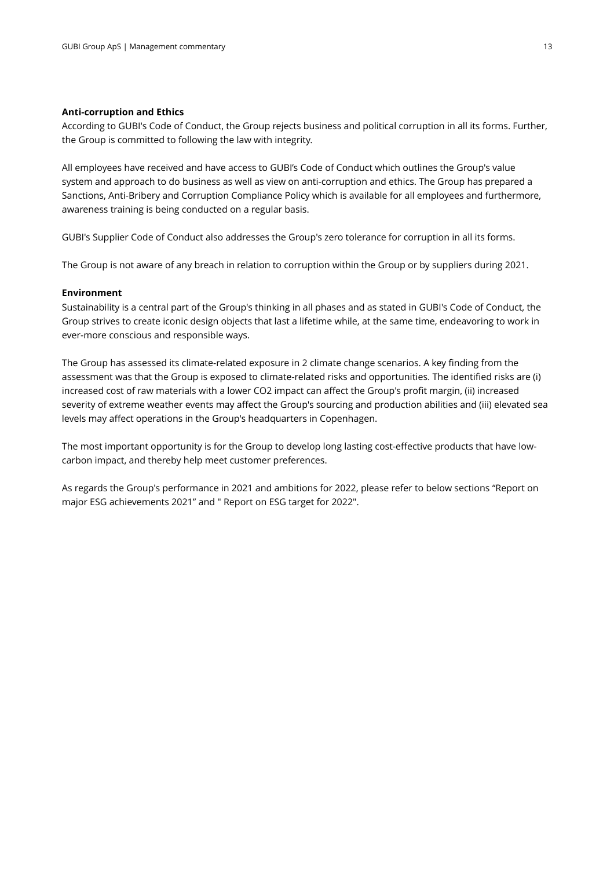#### **Anti-corruption and Ethics**

According to GUBI's Code of Conduct, the Group rejects business and political corruption in all its forms. Further, the Group is committed to following the law with integrity.

All employees have received and have access to GUBI's Code of Conduct which outlines the Group's value system and approach to do business as well as view on anti-corruption and ethics. The Group has prepared a Sanctions, Anti-Bribery and Corruption Compliance Policy which is available for all employees and furthermore, awareness training is being conducted on a regular basis.

GUBI's Supplier Code of Conduct also addresses the Group's zero tolerance for corruption in all its forms.

The Group is not aware of any breach in relation to corruption within the Group or by suppliers during 2021.

#### **Environment**

Sustainability is a central part of the Group's thinking in all phases and as stated in GUBI's Code of Conduct, the Group strives to create iconic design objects that last a lifetime while, at the same time, endeavoring to work in ever-more conscious and responsible ways.

The Group has assessed its climate-related exposure in 2 climate change scenarios. A key finding from the assessment was that the Group is exposed to climate-related risks and opportunities. The identified risks are (i) increased cost of raw materials with a lower CO2 impact can affect the Group's profit margin, (ii) increased severity of extreme weather events may affect the Group's sourcing and production abilities and (iii) elevated sea levels may affect operations in the Group's headquarters in Copenhagen.

The most important opportunity is for the Group to develop long lasting cost-effective products that have lowcarbon impact, and thereby help meet customer preferences.

As regards the Group's performance in 2021 and ambitions for 2022, please refer to below sections "Report on major ESG achievements 2021" and " Report on ESG target for 2022".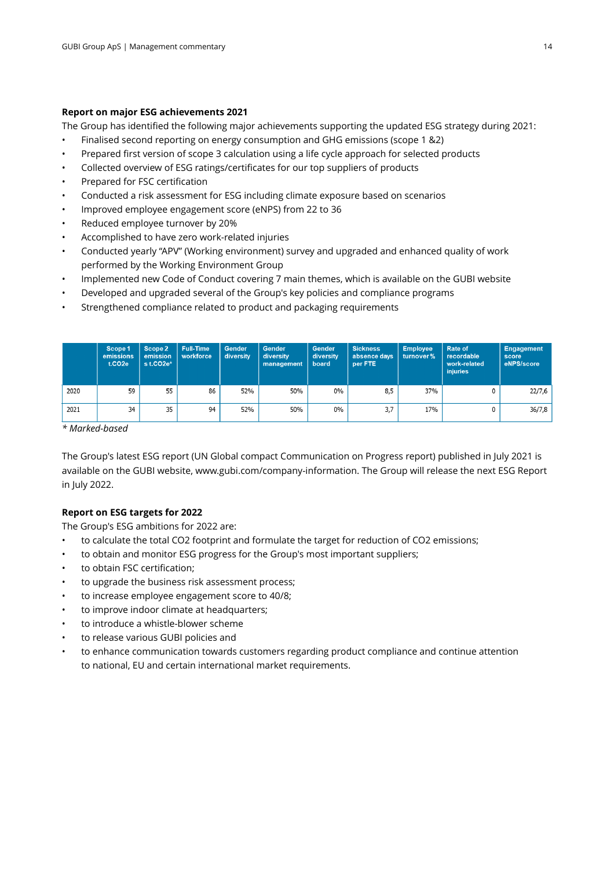#### **Report on major ESG achievements 2021**

The Group has identified the following major achievements supporting the updated ESG strategy during 2021:

- Finalised second reporting on energy consumption and GHG emissions (scope 1 &2)
- Prepared first version of scope 3 calculation using a life cycle approach for selected products
- Collected overview of ESG ratings/certificates for our top suppliers of products
- Prepared for FSC certification
- Conducted a risk assessment for ESG including climate exposure based on scenarios
- Improved employee engagement score (eNPS) from 22 to 36
- Reduced employee turnover by 20%
- Accomplished to have zero work-related injuries
- Conducted yearly "APV" (Working environment) survey and upgraded and enhanced quality of work performed by the Working Environment Group
- Implemented new Code of Conduct covering 7 main themes, which is available on the GUBI website
- Developed and upgraded several of the Group's key policies and compliance programs
- Strengthened compliance related to product and packaging requirements

|      | Scope 1<br>emissions<br>t.CO2e | Scope 2<br>emission<br>$s$ t.CO2e* | <b>Full-Time</b><br>workforce | Gender<br>diversity | <b>Gender</b><br>diversity<br>management | <b>Gender</b><br>diversity<br>board | <b>Sickness</b><br>absence days<br>per FTE | <b>Employee</b><br>turnover% | Rate of<br>recordable<br>work-related<br><i>injuries</i> | <b>Engagement</b><br>score<br>eNPS/score |
|------|--------------------------------|------------------------------------|-------------------------------|---------------------|------------------------------------------|-------------------------------------|--------------------------------------------|------------------------------|----------------------------------------------------------|------------------------------------------|
| 2020 | 59                             | 55                                 | 86                            | 52%                 | 50%                                      | 0%                                  | 8,5                                        | 37%                          |                                                          | 22/7,6                                   |
| 2021 | 34                             | 35                                 | 94                            | 52%                 | 50%                                      | $0\%$                               | 3,7                                        | 17%                          |                                                          | 36/7,8                                   |

*\* Marked-based* 

The Group's latest ESG report (UN Global compact Communication on Progress report) published in July 2021 is available on the GUBI website, www.gubi.com/company-information. The Group will release the next ESG Report in July 2022.

#### **Report on ESG targets for 2022**

The Group's ESG ambitions for 2022 are:

- to calculate the total CO2 footprint and formulate the target for reduction of CO2 emissions;
- to obtain and monitor ESG progress for the Group's most important suppliers;
- to obtain FSC certification;
- to upgrade the business risk assessment process;
- to increase employee engagement score to 40/8;
- to improve indoor climate at headquarters;
- to introduce a whistle-blower scheme
- to release various GUBI policies and
- to enhance communication towards customers regarding product compliance and continue attention to national, EU and certain international market requirements.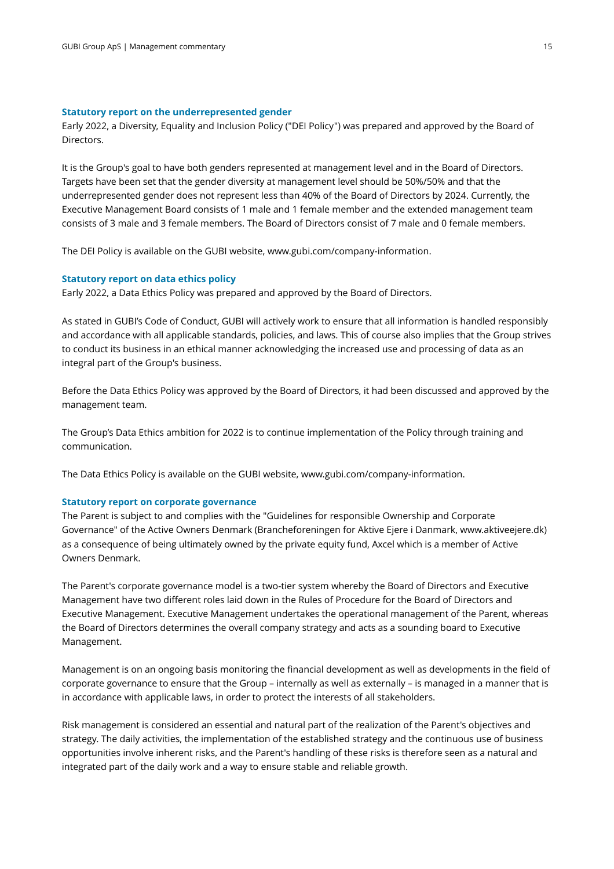#### **Statutory report on the underrepresented gender**

Early 2022, a Diversity, Equality and Inclusion Policy ("DEI Policy") was prepared and approved by the Board of Directors.

It is the Group's goal to have both genders represented at management level and in the Board of Directors. Targets have been set that the gender diversity at management level should be 50%/50% and that the underrepresented gender does not represent less than 40% of the Board of Directors by 2024. Currently, the Executive Management Board consists of 1 male and 1 female member and the extended management team consists of 3 male and 3 female members. The Board of Directors consist of 7 male and 0 female members.

The DEI Policy is available on the GUBI website, www.gubi.com/company-information.

#### **Statutory report on data ethics policy**

Early 2022, a Data Ethics Policy was prepared and approved by the Board of Directors.

As stated in GUBI's Code of Conduct, GUBI will actively work to ensure that all information is handled responsibly and accordance with all applicable standards, policies, and laws. This of course also implies that the Group strives to conduct its business in an ethical manner acknowledging the increased use and processing of data as an integral part of the Group's business.

Before the Data Ethics Policy was approved by the Board of Directors, it had been discussed and approved by the management team.

The Group's Data Ethics ambition for 2022 is to continue implementation of the Policy through training and communication.

The Data Ethics Policy is available on the GUBI website, www.gubi.com/company-information.

#### **Statutory report on corporate governance**

The Parent is subject to and complies with the "Guidelines for responsible Ownership and Corporate Governance" of the Active Owners Denmark (Brancheforeningen for Aktive Ejere i Danmark, www.aktiveejere.dk) as a consequence of being ultimately owned by the private equity fund, Axcel which is a member of Active Owners Denmark.

The Parent's corporate governance model is a two-tier system whereby the Board of Directors and Executive Management have two different roles laid down in the Rules of Procedure for the Board of Directors and Executive Management. Executive Management undertakes the operational management of the Parent, whereas the Board of Directors determines the overall company strategy and acts as a sounding board to Executive Management.

Management is on an ongoing basis monitoring the financial development as well as developments in the field of corporate governance to ensure that the Group – internally as well as externally – is managed in a manner that is in accordance with applicable laws, in order to protect the interests of all stakeholders.

Risk management is considered an essential and natural part of the realization of the Parent's objectives and strategy. The daily activities, the implementation of the established strategy and the continuous use of business opportunities involve inherent risks, and the Parent's handling of these risks is therefore seen as a natural and integrated part of the daily work and a way to ensure stable and reliable growth.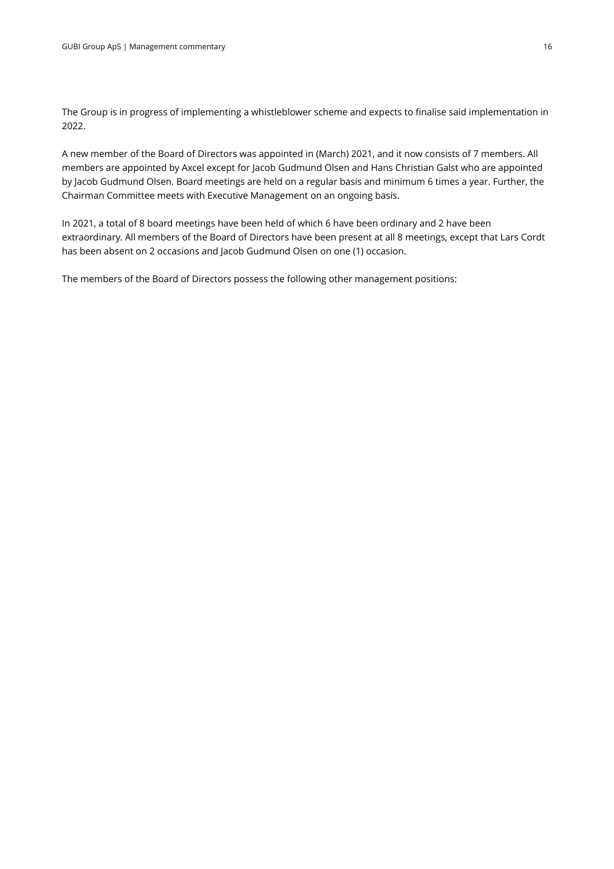The Group is in progress of implementing a whistleblower scheme and expects to finalise said implementation in 2022.

A new member of the Board of Directors was appointed in (March) 2021, and it now consists of 7 members. All members are appointed by Axcel except for Jacob Gudmund Olsen and Hans Christian Galst who are appointed by Jacob Gudmund Olsen. Board meetings are held on a regular basis and minimum 6 times a year. Further, the Chairman Committee meets with Executive Management on an ongoing basis.

In 2021, a total of 8 board meetings have been held of which 6 have been ordinary and 2 have been extraordinary. All members of the Board of Directors have been present at all 8 meetings, except that Lars Cordt has been absent on 2 occasions and Jacob Gudmund Olsen on one (1) occasion.

The members of the Board of Directors possess the following other management positions: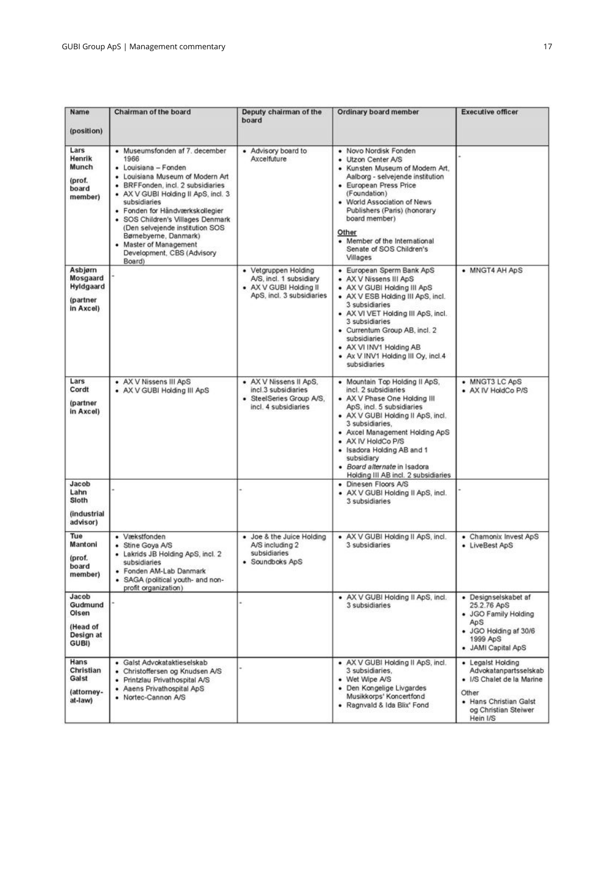| Name<br>(position)                                          | Chairman of the board                                                                                                                                                                                                                                                                                                                                                                              | Deputy chairman of the<br>board                                                                        | Ordinary board member                                                                                                                                                                                                                                                                                                                                  | <b>Executive officer</b>                                                                                                                       |
|-------------------------------------------------------------|----------------------------------------------------------------------------------------------------------------------------------------------------------------------------------------------------------------------------------------------------------------------------------------------------------------------------------------------------------------------------------------------------|--------------------------------------------------------------------------------------------------------|--------------------------------------------------------------------------------------------------------------------------------------------------------------------------------------------------------------------------------------------------------------------------------------------------------------------------------------------------------|------------------------------------------------------------------------------------------------------------------------------------------------|
| Lars<br>Henrik<br>Munch<br>(prof.<br>board<br>member)       | • Museumsfonden af 7. december<br>1966<br>• Louisiana - Fonden<br>• Louisiana Museum of Modern Art<br>· BRFFonden, incl. 2 subsidiaries<br>• AX V GUBI Holding II ApS, incl. 3<br>subsidiaries<br>· Fonden for Håndværkskollegier<br>· SOS Children's Villages Denmark<br>(Den selvejende institution SOS<br>Børnebyerne, Danmark)<br>Master of Management<br>Development, CBS (Advisory<br>Board) | • Advisory board to<br>Axcelfuture                                                                     | · Novo Nordisk Fonden<br>· Utzon Center A/S<br>· Kunsten Museum of Modern Art.<br>Aalborg - selvejende institution<br>• European Press Price<br>(Foundation)<br>• World Association of News<br>Publishers (Paris) (honorary<br>board member)<br>Other<br>• Member of the International<br>Senate of SOS Children's<br>Villages                         |                                                                                                                                                |
| Asbjørn<br>Mosgaard<br>Hyldgaard<br>(partner<br>in Axcel)   |                                                                                                                                                                                                                                                                                                                                                                                                    | • Vetgruppen Holding<br>A/S, incl. 1 subsidiary<br>• AX V GUBI Holding II<br>ApS, incl. 3 subsidiaries | • European Sperm Bank ApS<br>• AX V Nissens III ApS<br>· AX V GUBI Holding III ApS<br>• AX V ESB Holding III ApS, incl.<br>3 subsidiaries<br>• AX VI VET Holding III ApS, incl.<br>3 subsidiaries<br>• Currentum Group AB, incl. 2<br>subsidiaries<br>• AX VI INV1 Holding AB<br>• Ax V INV1 Holding III Oy, incl.4<br>subsidiaries                    | • MNGT4 AH ApS                                                                                                                                 |
| Lars<br>Cordt<br>(partner<br>in Axcel)                      | • AX V Nissens III ApS<br>· AX V GUBI Holding III ApS                                                                                                                                                                                                                                                                                                                                              | • AX V Nissens II ApS.<br>incl.3 subsidiaries<br>· SteelSeries Group A/S.<br>incl. 4 subsidiaries      | • Mountain Top Holding II ApS,<br>incl. 2 subsidiaries<br>• AX V Phase One Holding III<br>ApS, incl. 5 subsidiaries<br>• AX V GUBI Holding II ApS, incl.<br>3 subsidiaries.<br>• Axcel Management Holding ApS<br>• AX IV HoldCo P/S<br>· Isadora Holding AB and 1<br>subsidiary<br>· Board alternate in Isadora<br>Holding III AB incl. 2 subsidiaries | • MNGT3 LC ApS<br>· AX IV HoldCo P/S                                                                                                           |
| Jacob<br>Lahn<br>Sloth<br>(industrial<br>advisor)           |                                                                                                                                                                                                                                                                                                                                                                                                    |                                                                                                        | • Dinesen Floors A/S<br>• AX V GUBI Holding II ApS, incl.<br>3 subsidiaries                                                                                                                                                                                                                                                                            |                                                                                                                                                |
| Tue<br>Mantoni<br>(prof.<br>board<br>member)                | • Vækstfonden<br>Stine Goya A/S<br>۰<br>• Lakrids JB Holding ApS, incl. 2<br>subsidiaries<br>Fonden AM-Lab Danmark<br>· SAGA (political youth- and non-<br>profit organization)                                                                                                                                                                                                                    | · Joe & the Juice Holding<br>A/S including 2<br>subsidiaries<br>· Soundboks ApS                        | • AX V GUBI Holding II ApS, incl.<br>3 subsidiaries                                                                                                                                                                                                                                                                                                    | • Chamonix Invest ApS<br>• LiveBest ApS                                                                                                        |
| Jacob<br>Gudmund<br>Olsen<br>(Head of<br>Design at<br>GUBI) |                                                                                                                                                                                                                                                                                                                                                                                                    |                                                                                                        | • AX V GUBI Holding II ApS, incl.<br>3 subsidiaries                                                                                                                                                                                                                                                                                                    | • Designselskabet af<br>25.2.76 ApS<br>· JGO Family Holding<br>ApS<br>• JGO Holding af 30/6<br>1999 ApS<br>· JAMI Capital ApS                  |
| Hans<br>Christian<br>Galst<br>(attorney-<br>at-law)         | · Galst Advokataktieselskab<br>· Christoffersen og Knudsen A/S<br>· Printzlau Privathospital A/S<br>• Aaens Privathospital ApS<br>• Nortec-Cannon A/S                                                                                                                                                                                                                                              |                                                                                                        | • AX V GUBI Holding II ApS, incl.<br>3 subsidiaries.<br>• Wet Wipe A/S<br>• Den Kongelige Livgardes<br>Musikkorps' Koncertfond<br>· Ragnvald & Ida Blix' Fond                                                                                                                                                                                          | • Legalst Holding<br>Advokatanpartsselskab<br>· I/S Chalet de la Marine<br>Other<br>· Hans Christian Galst<br>og Christian Steiwer<br>Hein I/S |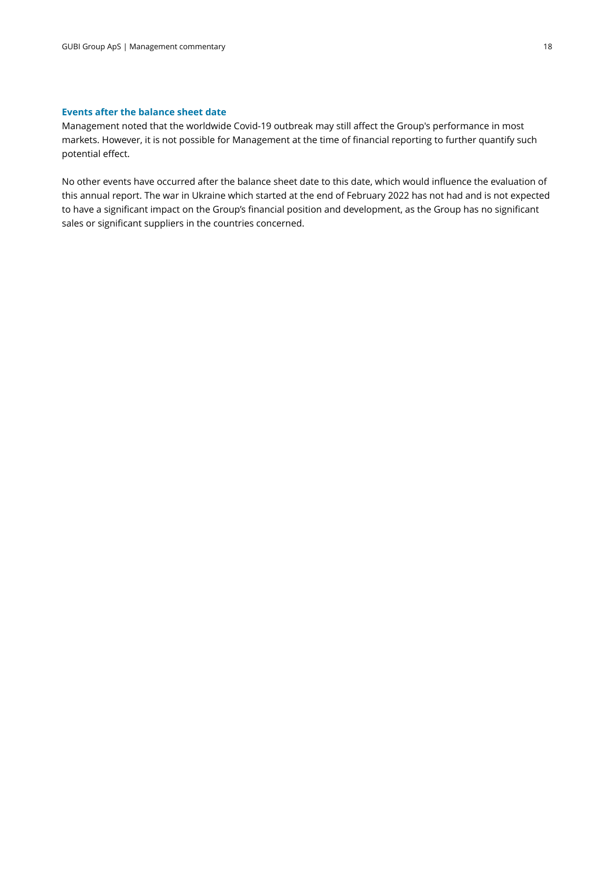#### **Events after the balance sheet date**

Management noted that the worldwide Covid-19 outbreak may still affect the Group's performance in most markets. However, it is not possible for Management at the time of financial reporting to further quantify such potential effect.

No other events have occurred after the balance sheet date to this date, which would influence the evaluation of this annual report. The war in Ukraine which started at the end of February 2022 has not had and is not expected to have a significant impact on the Group's financial position and development, as the Group has no significant sales or significant suppliers in the countries concerned.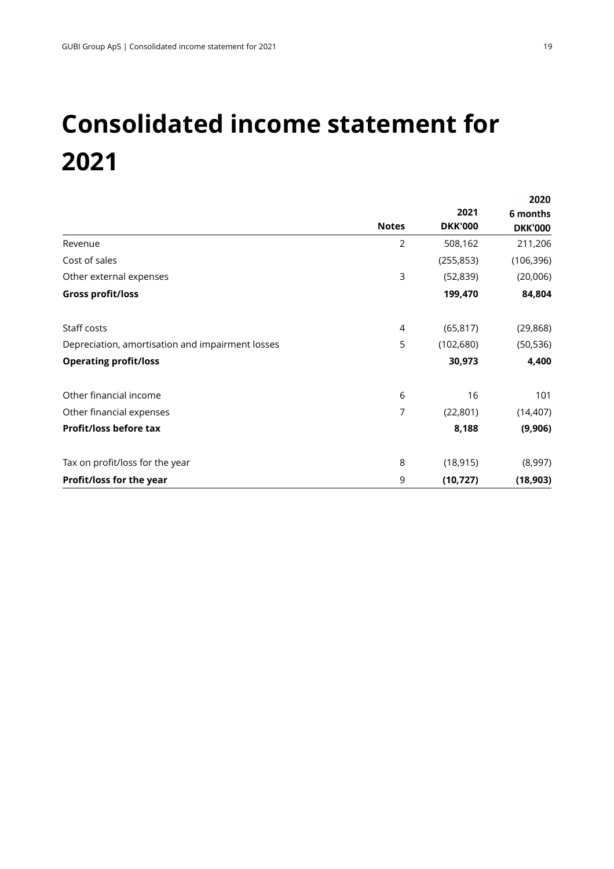## **Consolidated income statement for 2021**

|                                                  |              |                | 2020           |
|--------------------------------------------------|--------------|----------------|----------------|
|                                                  |              | 2021           | 6 months       |
|                                                  | <b>Notes</b> | <b>DKK'000</b> | <b>DKK'000</b> |
| Revenue                                          | 2            | 508,162        | 211,206        |
| Cost of sales                                    |              | (255, 853)     | (106, 396)     |
| Other external expenses                          | 3            | (52, 839)      | (20,006)       |
| <b>Gross profit/loss</b>                         |              | 199,470        | 84,804         |
| Staff costs                                      | 4            | (65, 817)      | (29, 868)      |
| Depreciation, amortisation and impairment losses | 5            | (102, 680)     | (50, 536)      |
| <b>Operating profit/loss</b>                     |              | 30,973         | 4,400          |
| Other financial income                           | 6            | 16             | 101            |
| Other financial expenses                         | 7            | (22, 801)      | (14, 407)      |
| Profit/loss before tax                           |              | 8,188          | (9,906)        |
| Tax on profit/loss for the year                  | 8            | (18, 915)      | (8,997)        |
| Profit/loss for the year                         | 9            | (10, 727)      | (18, 903)      |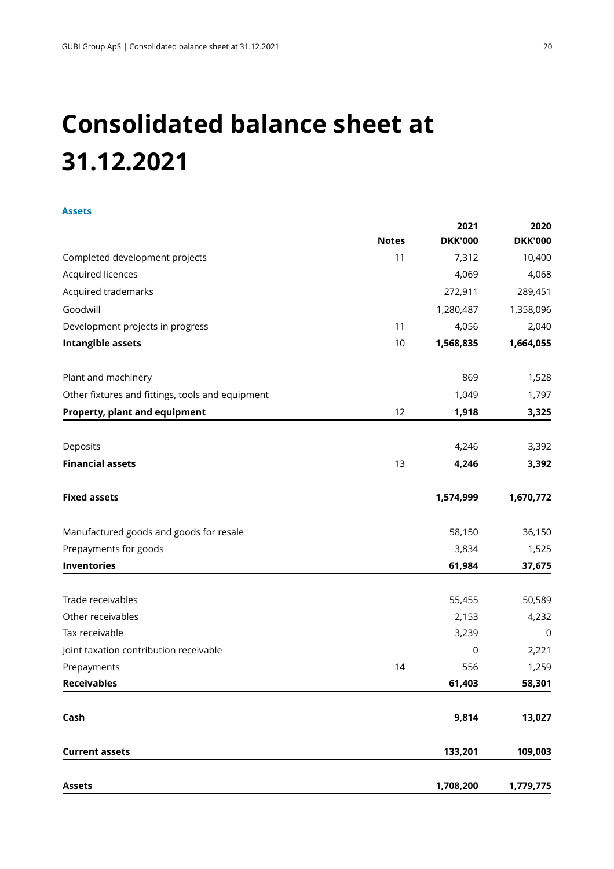## **Consolidated balance sheet at 31.12.2021**

#### **Assets**

|                                                  | <b>Notes</b> | 2021<br><b>DKK'000</b> | 2020<br><b>DKK'000</b> |
|--------------------------------------------------|--------------|------------------------|------------------------|
| Completed development projects                   | 11           | 7,312                  | 10,400                 |
| Acquired licences                                |              | 4,069                  | 4,068                  |
| Acquired trademarks                              |              | 272,911                | 289,451                |
| Goodwill                                         |              | 1,280,487              | 1,358,096              |
| Development projects in progress                 | 11           | 4,056                  | 2,040                  |
| Intangible assets                                | 10           | 1,568,835              | 1,664,055              |
| Plant and machinery                              |              | 869                    | 1,528                  |
| Other fixtures and fittings, tools and equipment |              | 1,049                  | 1,797                  |
| Property, plant and equipment                    | 12           | 1,918                  | 3,325                  |
| Deposits                                         |              | 4,246                  | 3,392                  |
| <b>Financial assets</b>                          | 13           | 4,246                  | 3,392                  |
| <b>Fixed assets</b>                              |              | 1,574,999              | 1,670,772              |
| Manufactured goods and goods for resale          |              | 58,150                 | 36,150                 |
| Prepayments for goods                            |              | 3,834                  | 1,525                  |
| Inventories                                      |              | 61,984                 | 37,675                 |
| Trade receivables                                |              | 55,455                 | 50,589                 |
| Other receivables                                |              | 2,153                  | 4,232                  |
| Tax receivable                                   |              | 3,239                  | 0                      |
| Joint taxation contribution receivable           |              | 0                      | 2,221                  |
| Prepayments                                      | 14           | 556                    | 1,259                  |
| <b>Receivables</b>                               |              | 61,403                 | 58,301                 |
| Cash                                             |              | 9,814                  | 13,027                 |
| <b>Current assets</b>                            |              | 133,201                | 109,003                |
| <b>Assets</b>                                    |              | 1,708,200              | 1,779,775              |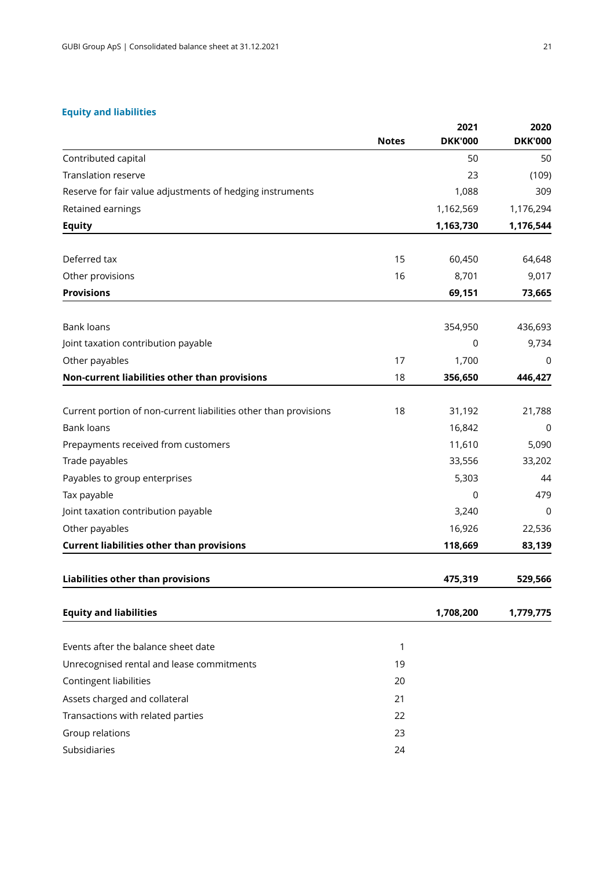#### **Equity and liabilities**

|                                                                  | <b>Notes</b> | 2021<br><b>DKK'000</b> | 2020<br><b>DKK'000</b> |
|------------------------------------------------------------------|--------------|------------------------|------------------------|
| Contributed capital                                              |              | 50                     | 50                     |
| <b>Translation reserve</b>                                       |              | 23                     | (109)                  |
| Reserve for fair value adjustments of hedging instruments        |              | 1,088                  | 309                    |
| Retained earnings                                                |              | 1,162,569              | 1,176,294              |
| <b>Equity</b>                                                    |              | 1,163,730              | 1,176,544              |
| Deferred tax                                                     | 15           | 60,450                 | 64,648                 |
| Other provisions                                                 | 16           | 8,701                  | 9,017                  |
| <b>Provisions</b>                                                |              | 69,151                 | 73,665                 |
| <b>Bank loans</b>                                                |              | 354,950                | 436,693                |
| Joint taxation contribution payable                              |              | 0                      | 9,734                  |
| Other payables                                                   | 17           | 1,700                  | 0                      |
| Non-current liabilities other than provisions                    | 18           | 356,650                | 446,427                |
| Current portion of non-current liabilities other than provisions | 18           | 31,192                 | 21,788                 |
| <b>Bank loans</b>                                                |              | 16,842                 | 0                      |
| Prepayments received from customers                              |              | 11,610                 | 5,090                  |
| Trade payables                                                   |              | 33,556                 | 33,202                 |
| Payables to group enterprises                                    |              | 5,303                  | 44                     |
| Tax payable                                                      |              | 0                      | 479                    |
| Joint taxation contribution payable                              |              | 3,240                  | 0                      |
| Other payables                                                   |              | 16,926                 | 22,536                 |
| <b>Current liabilities other than provisions</b>                 |              | 118,669                | 83,139                 |
| Liabilities other than provisions                                |              | 475,319                | 529,566                |
| <b>Equity and liabilities</b>                                    |              | 1,708,200              | 1,779,775              |
| Events after the balance sheet date                              | 1            |                        |                        |
| Unrecognised rental and lease commitments                        | 19           |                        |                        |
| Contingent liabilities                                           | 20           |                        |                        |
| Assets charged and collateral                                    | 21           |                        |                        |
| Transactions with related parties                                | 22           |                        |                        |
| Group relations                                                  | 23           |                        |                        |
| Subsidiaries                                                     | 24           |                        |                        |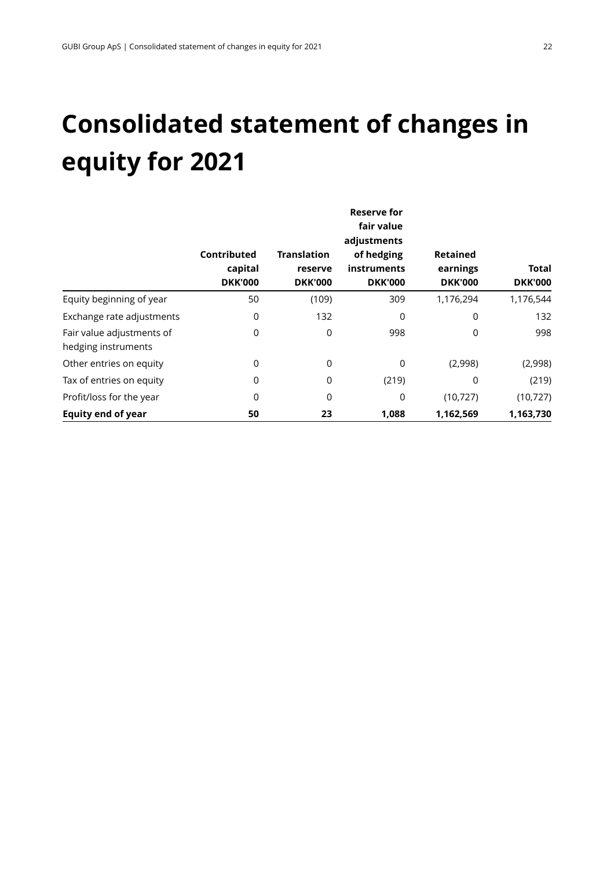## **Consolidated statement of changes in equity for 2021**

|                                                  |                                          | <b>Reserve for</b><br>fair value<br>adjustments |                                             |                                               |                         |  |  |  |  |  |
|--------------------------------------------------|------------------------------------------|-------------------------------------------------|---------------------------------------------|-----------------------------------------------|-------------------------|--|--|--|--|--|
|                                                  | Contributed<br>capital<br><b>DKK'000</b> | <b>Translation</b><br>reserve<br><b>DKK'000</b> | of hedging<br>instruments<br><b>DKK'000</b> | <b>Retained</b><br>earnings<br><b>DKK'000</b> | Total<br><b>DKK'000</b> |  |  |  |  |  |
| Equity beginning of year                         | 50                                       | (109)                                           | 309                                         | 1,176,294                                     | 1,176,544               |  |  |  |  |  |
| Exchange rate adjustments                        | 0                                        | 132                                             | 0                                           | 0                                             | 132                     |  |  |  |  |  |
| Fair value adjustments of<br>hedging instruments | 0                                        | 0                                               | 998                                         | 0                                             | 998                     |  |  |  |  |  |
| Other entries on equity                          | 0                                        | 0                                               | 0                                           | (2,998)                                       | (2,998)                 |  |  |  |  |  |
| Tax of entries on equity                         | 0                                        | $\mathbf 0$                                     | (219)                                       | 0                                             | (219)                   |  |  |  |  |  |
| Profit/loss for the year                         | 0                                        | 0                                               | 0                                           | (10, 727)                                     | (10, 727)               |  |  |  |  |  |
| <b>Equity end of year</b>                        | 50                                       | 23                                              | 1,088                                       | 1,162,569                                     | 1,163,730               |  |  |  |  |  |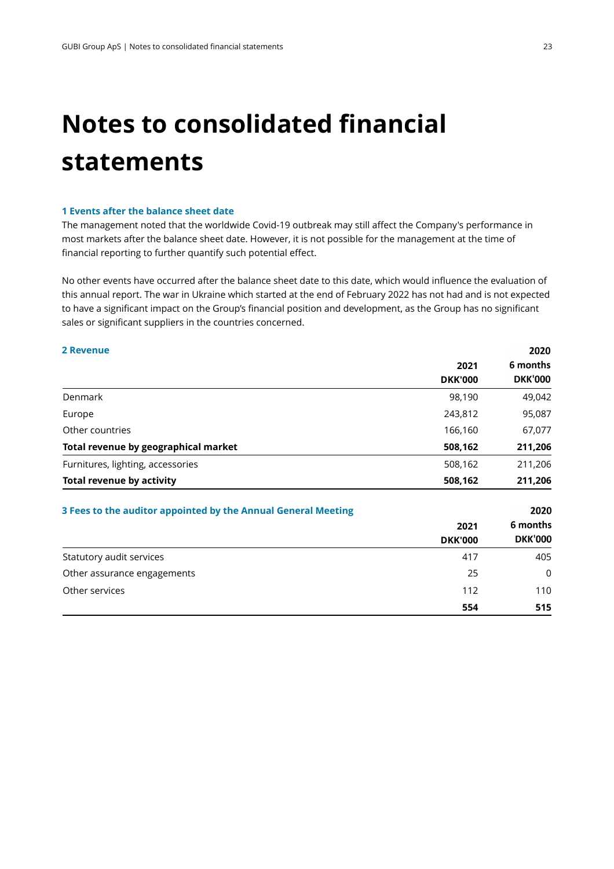## **Notes to consolidated financial statements**

#### **1 Events after the balance sheet date**

The management noted that the worldwide Covid-19 outbreak may still affect the Company's performance in most markets after the balance sheet date. However, it is not possible for the management at the time of financial reporting to further quantify such potential effect.

No other events have occurred after the balance sheet date to this date, which would influence the evaluation of this annual report. The war in Ukraine which started at the end of February 2022 has not had and is not expected to have a significant impact on the Group's financial position and development, as the Group has no significant sales or significant suppliers in the countries concerned.

#### **2 Revenue**

|                                      | 2021           | 6 months       |
|--------------------------------------|----------------|----------------|
|                                      | <b>DKK'000</b> | <b>DKK'000</b> |
| Denmark                              | 98,190         | 49,042         |
| Europe                               | 243,812        | 95,087         |
| Other countries                      | 166,160        | 67,077         |
| Total revenue by geographical market | 508,162        | 211,206        |
| Furnitures, lighting, accessories    | 508,162        | 211,206        |
| <b>Total revenue by activity</b>     | 508,162        | 211,206        |
|                                      |                |                |

| 3 Fees to the auditor appointed by the Annual General Meeting |                        | 2020                       |
|---------------------------------------------------------------|------------------------|----------------------------|
|                                                               | 2021<br><b>DKK'000</b> | 6 months<br><b>DKK'000</b> |
| Statutory audit services                                      | 417                    | 405                        |
| Other assurance engagements                                   | 25                     | $\Omega$                   |
| Other services                                                | 112                    | 110                        |
|                                                               | 554                    | 515                        |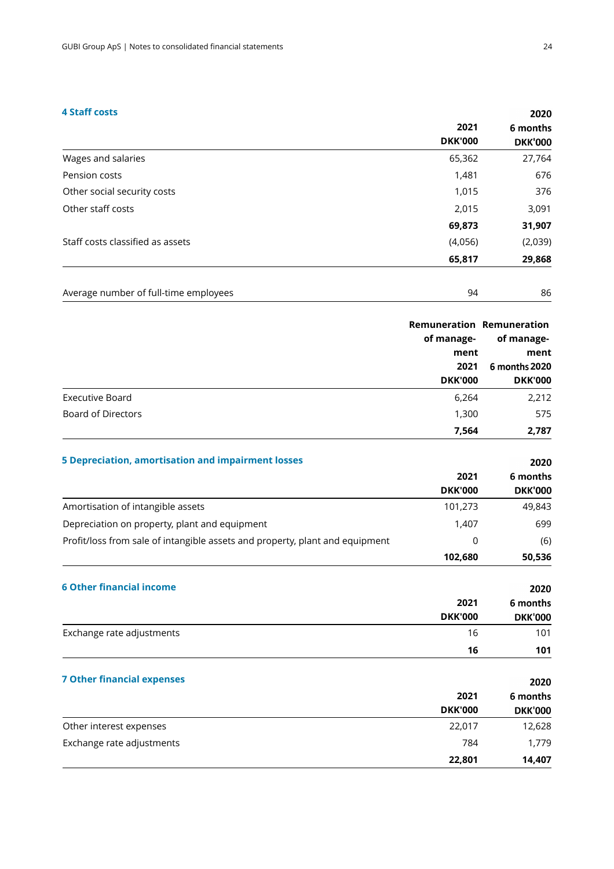#### **4 Staff costs**

| 2021           | 6 months       |
|----------------|----------------|
| <b>DKK'000</b> | <b>DKK'000</b> |
| 65,362         | 27,764         |
| 1,481          | 676            |
| 1,015          | 376            |
| 2,015          | 3,091          |
| 69,873         | 31,907         |
| (4,056)        | (2,039)        |
| 65,817         | 29,868         |
|                |                |

| Average number of full-time employees<br>. |  | 86 |
|--------------------------------------------|--|----|
|--------------------------------------------|--|----|

|                                                           | of manage-<br>ment<br>2021<br><b>DKK'000</b> | <b>Remuneration Remuneration</b><br>of manage-<br>ment<br>6 months 2020<br><b>DKK'000</b> |
|-----------------------------------------------------------|----------------------------------------------|-------------------------------------------------------------------------------------------|
| Executive Board                                           | 6,264                                        | 2,212                                                                                     |
| Board of Directors                                        | 1,300                                        | 575                                                                                       |
|                                                           | 7,564                                        | 2,787                                                                                     |
| <b>5 Depreciation, amortisation and impairment losses</b> |                                              | 2020                                                                                      |
|                                                           | 2021                                         | 6 months                                                                                  |
|                                                           | <b>DKK'000</b>                               | <b>DKK'000</b>                                                                            |
| Amortisation of intangible assets                         | 101,273                                      | 49,843                                                                                    |

| Depreciation on property, plant and equipment                                | 1,407          | 699            |
|------------------------------------------------------------------------------|----------------|----------------|
| Profit/loss from sale of intangible assets and property, plant and equipment | 0              | (6)            |
|                                                                              | 102,680        | 50,536         |
| <b>6 Other financial income</b>                                              |                | 2020           |
|                                                                              | 2021           | 6 months       |
|                                                                              | <b>DKK'000</b> | <b>DKK'000</b> |
| Exchange rate adjustments                                                    | 16             | 101            |
|                                                                              | 16             | 101            |
| <b>7 Other financial expenses</b>                                            |                | 2020           |

|                           | 2021<br><b>DKK'000</b><br><b>DKK'000</b> | 6 months |
|---------------------------|------------------------------------------|----------|
|                           |                                          |          |
| Other interest expenses   | 22,017                                   | 12,628   |
| Exchange rate adjustments | 784                                      | 1,779    |
|                           | 22,801                                   | 14,407   |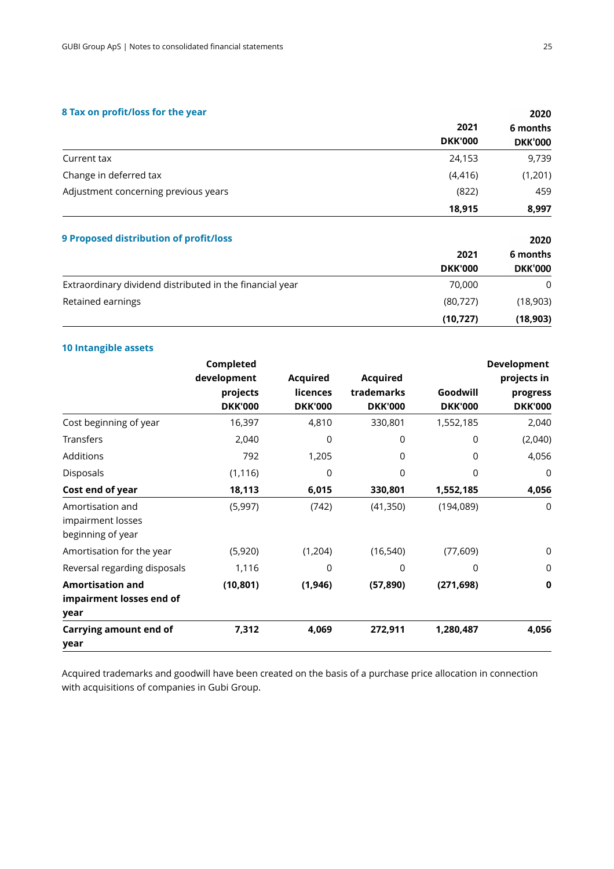#### **8 Tax on profit/loss for the year**

|                                      | 2021<br><b>DKK'000</b> | 6 months<br><b>DKK'000</b> |
|--------------------------------------|------------------------|----------------------------|
|                                      |                        |                            |
| Current tax                          | 24,153                 | 9,739                      |
| Change in deferred tax               | (4, 416)               | (1,201)                    |
| Adjustment concerning previous years | (822)                  | 459                        |
|                                      | 18,915                 | 8,997                      |
|                                      |                        |                            |

| 9 Proposed distribution of profit/loss                   |                | 2020<br>6 months |
|----------------------------------------------------------|----------------|------------------|
|                                                          | 2021           |                  |
|                                                          | <b>DKK'000</b> | <b>DKK'000</b>   |
| Extraordinary dividend distributed in the financial year | 70,000         | $\Omega$         |
| Retained earnings                                        | (80, 727)      | (18,903)         |
|                                                          | (10, 727)      | (18,903)         |

#### **10 Intangible assets**

|                              | Completed                  |                            |                              |                            | Development                |
|------------------------------|----------------------------|----------------------------|------------------------------|----------------------------|----------------------------|
|                              | development                | <b>Acquired</b>            | <b>Acquired</b>              |                            | projects in                |
|                              | projects<br><b>DKK'000</b> | licences<br><b>DKK'000</b> | trademarks<br><b>DKK'000</b> | Goodwill<br><b>DKK'000</b> | progress<br><b>DKK'000</b> |
| Cost beginning of year       | 16,397                     | 4,810                      | 330,801                      | 1,552,185                  | 2,040                      |
| Transfers                    | 2,040                      | 0                          | 0                            | 0                          | (2,040)                    |
| Additions                    | 792                        | 1,205                      | 0                            | $\Omega$                   | 4,056                      |
| Disposals                    | (1, 116)                   | 0                          | 0                            | $\Omega$                   | 0                          |
| Cost end of year             | 18,113                     | 6,015                      | 330,801                      | 1,552,185                  | 4,056                      |
| Amortisation and             | (5,997)                    | (742)                      | (41,350)                     | (194, 089)                 | $\Omega$                   |
| impairment losses            |                            |                            |                              |                            |                            |
| beginning of year            |                            |                            |                              |                            |                            |
| Amortisation for the year    | (5,920)                    | (1,204)                    | (16, 540)                    | (77, 609)                  | 0                          |
| Reversal regarding disposals | 1,116                      | 0                          | 0                            | 0                          | 0                          |
| <b>Amortisation and</b>      | (10, 801)                  | (1, 946)                   | (57, 890)                    | (271, 698)                 | $\mathbf 0$                |
| impairment losses end of     |                            |                            |                              |                            |                            |
| year                         |                            |                            |                              |                            |                            |
| Carrying amount end of       | 7,312                      | 4,069                      | 272,911                      | 1,280,487                  | 4,056                      |
| year                         |                            |                            |                              |                            |                            |

Acquired trademarks and goodwill have been created on the basis of a purchase price allocation in connection with acquisitions of companies in Gubi Group.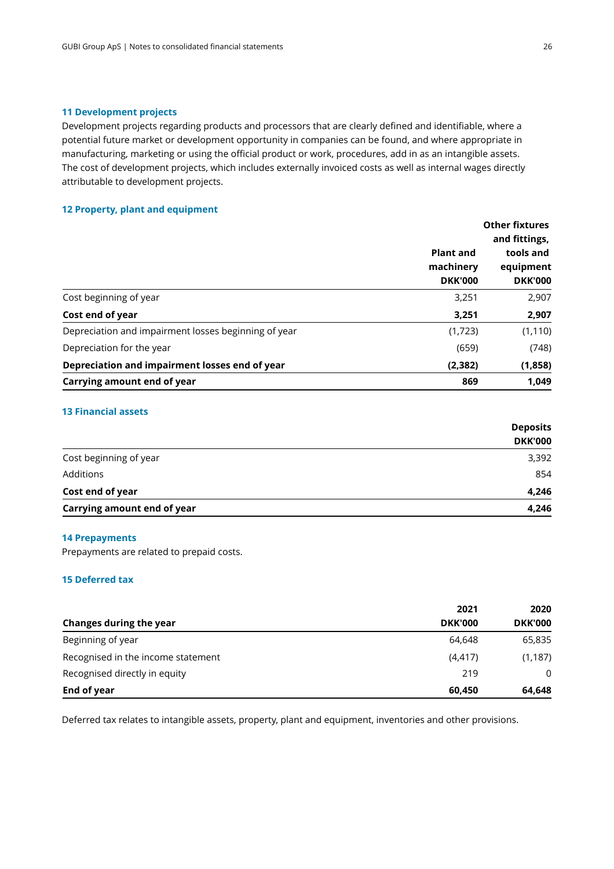#### **11 Development projects**

Development projects regarding products and processors that are clearly defined and identifiable, where a potential future market or development opportunity in companies can be found, and where appropriate in manufacturing, marketing or using the official product or work, procedures, add in as an intangible assets. The cost of development projects, which includes externally invoiced costs as well as internal wages directly attributable to development projects.

#### **12 Property, plant and equipment**

|                                                      | <b>Plant and</b><br>machinery<br><b>DKK'000</b> | <b>Other fixtures</b><br>and fittings,<br>tools and<br>equipment<br><b>DKK'000</b> |
|------------------------------------------------------|-------------------------------------------------|------------------------------------------------------------------------------------|
| Cost beginning of year                               | 3,251                                           | 2,907                                                                              |
| Cost end of year                                     | 3,251                                           | 2,907                                                                              |
| Depreciation and impairment losses beginning of year | (1,723)                                         | (1, 110)                                                                           |
| Depreciation for the year                            | (659)                                           | (748)                                                                              |
| Depreciation and impairment losses end of year       | (2, 382)                                        | (1,858)                                                                            |
| Carrying amount end of year                          | 869                                             | 1.049                                                                              |

#### **13 Financial assets**

|                             | <b>Deposits</b> |
|-----------------------------|-----------------|
|                             | <b>DKK'000</b>  |
| Cost beginning of year      | 3,392           |
| Additions                   | 854             |
| Cost end of year            | 4,246           |
| Carrying amount end of year | 4,246           |

#### **14 Prepayments**

Prepayments are related to prepaid costs.

#### **15 Deferred tax**

| Changes during the year            | 2021           | 2020<br><b>DKK'000</b> |
|------------------------------------|----------------|------------------------|
|                                    | <b>DKK'000</b> |                        |
| Beginning of year                  | 64,648         | 65,835                 |
| Recognised in the income statement | (4, 417)       | (1, 187)               |
| Recognised directly in equity      | 219            | $\Omega$               |
| End of year                        | 60,450         | 64,648                 |

Deferred tax relates to intangible assets, property, plant and equipment, inventories and other provisions.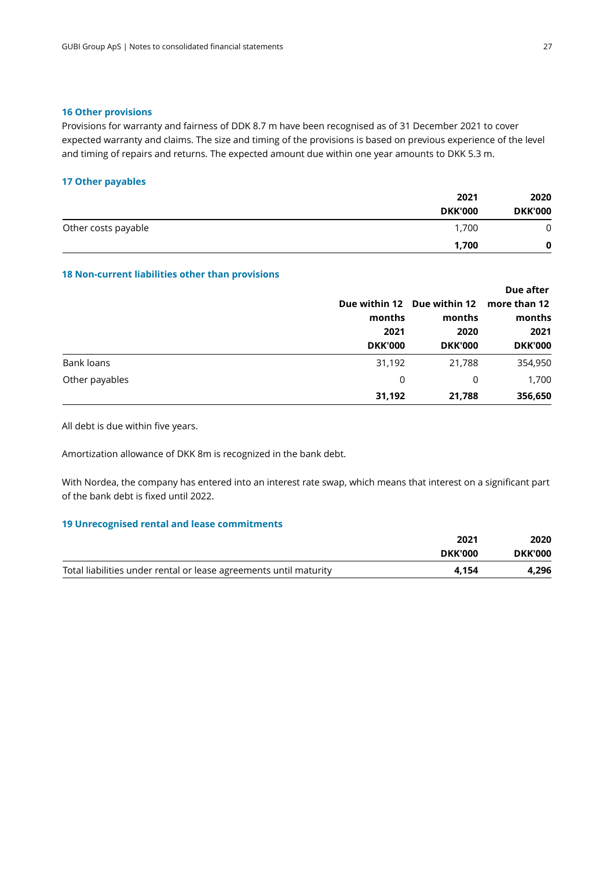#### **16 Other provisions**

Provisions for warranty and fairness of DDK 8.7 m have been recognised as of 31 December 2021 to cover expected warranty and claims. The size and timing of the provisions is based on previous experience of the level and timing of repairs and returns. The expected amount due within one year amounts to DKK 5.3 m.

#### **17 Other payables**

|                     | 2021           | 2020<br><b>DKK'000</b> |
|---------------------|----------------|------------------------|
|                     | <b>DKK'000</b> |                        |
| Other costs payable | 1,700          | 0                      |
|                     | 1,700          | 0                      |

#### **18 Non-current liabilities other than provisions**

|                |                |                             | Due after      |  |  |  |  |  |  |      |
|----------------|----------------|-----------------------------|----------------|--|--|--|--|--|--|------|
|                |                | Due within 12 Due within 12 | more than 12   |  |  |  |  |  |  |      |
|                | months         | months                      | months         |  |  |  |  |  |  |      |
|                | 2021           |                             | 2020           |  |  |  |  |  |  | 2021 |
|                | <b>DKK'000</b> | <b>DKK'000</b>              | <b>DKK'000</b> |  |  |  |  |  |  |      |
| Bank loans     | 31,192         | 21,788                      | 354,950        |  |  |  |  |  |  |      |
| Other payables | 0              | 0                           | 1,700          |  |  |  |  |  |  |      |
|                | 31,192         | 21,788                      | 356,650        |  |  |  |  |  |  |      |

All debt is due within five years.

Amortization allowance of DKK 8m is recognized in the bank debt.

With Nordea, the company has entered into an interest rate swap, which means that interest on a significant part of the bank debt is fixed until 2022.

#### **19 Unrecognised rental and lease commitments**

|                                                                   | 2021           | 2020           |
|-------------------------------------------------------------------|----------------|----------------|
|                                                                   | <b>DKK'000</b> | <b>DKK'000</b> |
| Total liabilities under rental or lease agreements until maturity | 4.154          | 4,296          |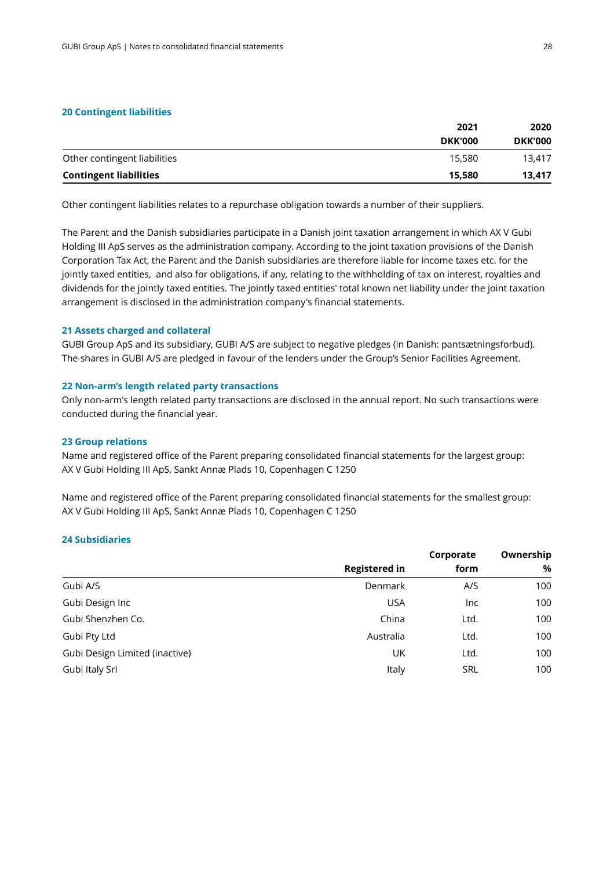#### **20 Contingent liabilities**

| 2021           | 2020           |
|----------------|----------------|
| <b>DKK'000</b> | <b>DKK'000</b> |
| 15,580         | 13.417         |
| 15,580         | 13.417         |
|                |                |

Other contingent liabilities relates to a repurchase obligation towards a number of their suppliers.

The Parent and the Danish subsidiaries participate in a Danish joint taxation arrangement in which AX V Gubi Holding III ApS serves as the administration company. According to the joint taxation provisions ofthe Danish Corporation Tax Act, the Parent and the Danish subsidiaries are therefore liable for income taxes etc. for the jointly taxed entities, and also for obligations, if any, relating to the withholding of tax on interest, royalties and dividends for the jointlytaxed entities. The jointly taxed entities' total known net liability under the joint taxation arrangement is disclosed in the administration company's financial statements.

#### **21 Assets charged and collateral**

GUBI Group ApS and its subsidiary, GUBI A/S are subject to negative pledges (in Danish: pantsætningsforbud). The shares in GUBI A/S are pledged in favour of the lenders under the Group's Senior Facilities Agreement.

#### **22 Non-arm's length related party transactions**

Only non-arm's length related party transactions are disclosed in the annual report. No such transactions were conducted during the financial year.

#### **23 Group relations**

Name and registered office of the Parent preparing consolidated financial statements for the largest group: AX V Gubi Holding III ApS, Sankt Annæ Plads 10, Copenhagen C 1250

Name and registered office of the Parent preparing consolidated financial statements for the smallest group: AX V Gubi Holding III ApS, Sankt Annæ Plads 10, Copenhagen C 1250

#### **24 Subsidiaries**

|                                | Corporate            |            |     |
|--------------------------------|----------------------|------------|-----|
|                                | <b>Registered in</b> | form       | %   |
| Gubi A/S                       | Denmark              | A/S        | 100 |
| Gubi Design Inc                | <b>USA</b>           | Inc        | 100 |
| Gubi Shenzhen Co.              | China                | Ltd.       | 100 |
| Gubi Pty Ltd                   | Australia            | Ltd.       | 100 |
| Gubi Design Limited (inactive) | UK                   | Ltd.       | 100 |
| Gubi Italy Srl                 | Italy                | <b>SRL</b> | 100 |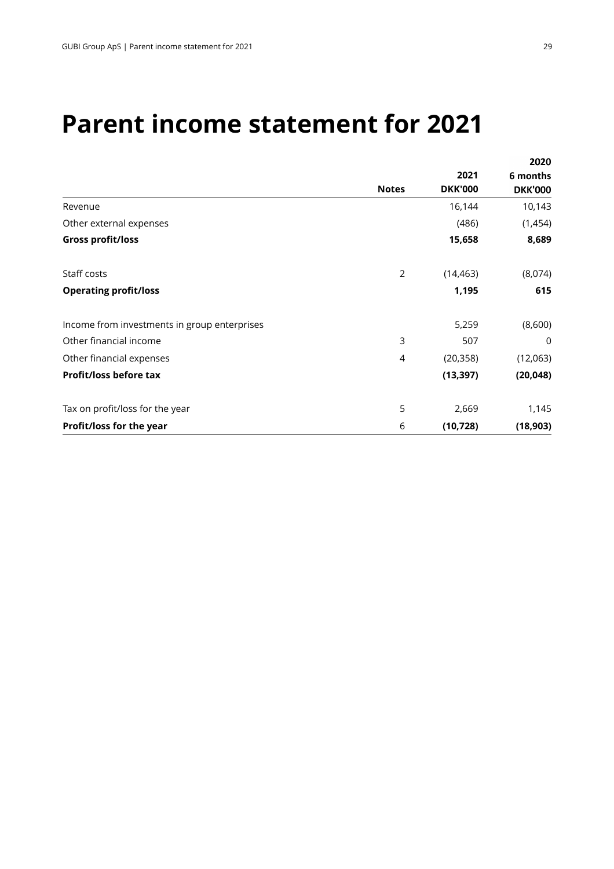### **Parent income statement for 2021**

|                                              |                |                | 2020           |
|----------------------------------------------|----------------|----------------|----------------|
|                                              |                | 2021           | 6 months       |
|                                              | <b>Notes</b>   | <b>DKK'000</b> | <b>DKK'000</b> |
| Revenue                                      |                | 16,144         | 10,143         |
| Other external expenses                      |                | (486)          | (1,454)        |
| <b>Gross profit/loss</b>                     |                | 15,658         | 8,689          |
| Staff costs                                  | $\overline{2}$ | (14, 463)      | (8,074)        |
| <b>Operating profit/loss</b>                 |                | 1,195          | 615            |
| Income from investments in group enterprises |                | 5,259          | (8,600)        |
| Other financial income                       | 3              | 507            | 0              |
| Other financial expenses                     | 4              | (20, 358)      | (12,063)       |
| Profit/loss before tax                       |                | (13, 397)      | (20, 048)      |
| Tax on profit/loss for the year              | 5              | 2,669          | 1,145          |
| Profit/loss for the year                     | 6              | (10, 728)      | (18, 903)      |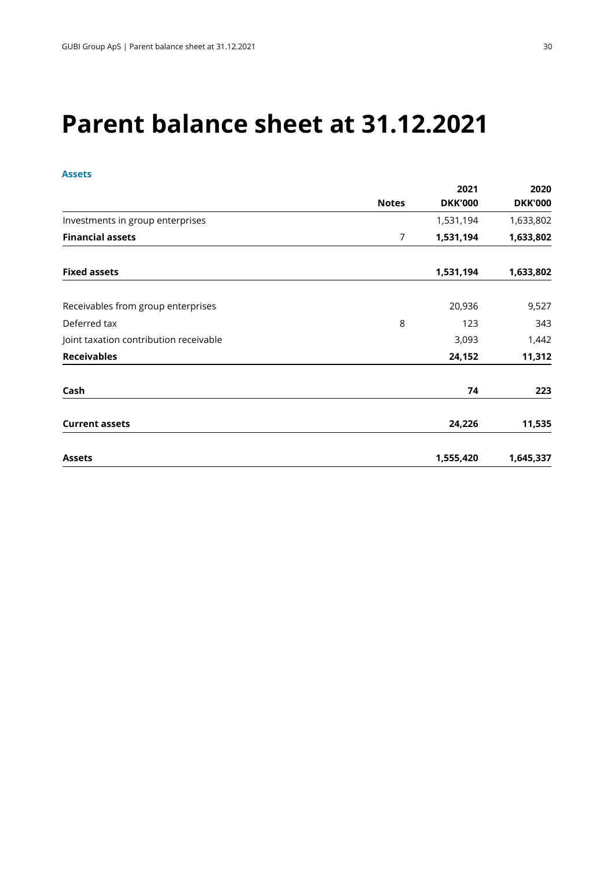## **Parent balance sheet at 31.12.2021**

#### **Assets**

|                                        |                | 2021           | 2020           |
|----------------------------------------|----------------|----------------|----------------|
|                                        | <b>Notes</b>   | <b>DKK'000</b> | <b>DKK'000</b> |
| Investments in group enterprises       |                | 1,531,194      | 1,633,802      |
| <b>Financial assets</b>                | $\overline{7}$ | 1,531,194      | 1,633,802      |
| <b>Fixed assets</b>                    |                | 1,531,194      | 1,633,802      |
| Receivables from group enterprises     |                | 20,936         | 9,527          |
| Deferred tax                           | 8              | 123            | 343            |
| Joint taxation contribution receivable |                | 3,093          | 1,442          |
| <b>Receivables</b>                     |                | 24,152         | 11,312         |
| Cash                                   |                | 74             | 223            |
| <b>Current assets</b>                  |                | 24,226         | 11,535         |
| <b>Assets</b>                          |                | 1,555,420      | 1,645,337      |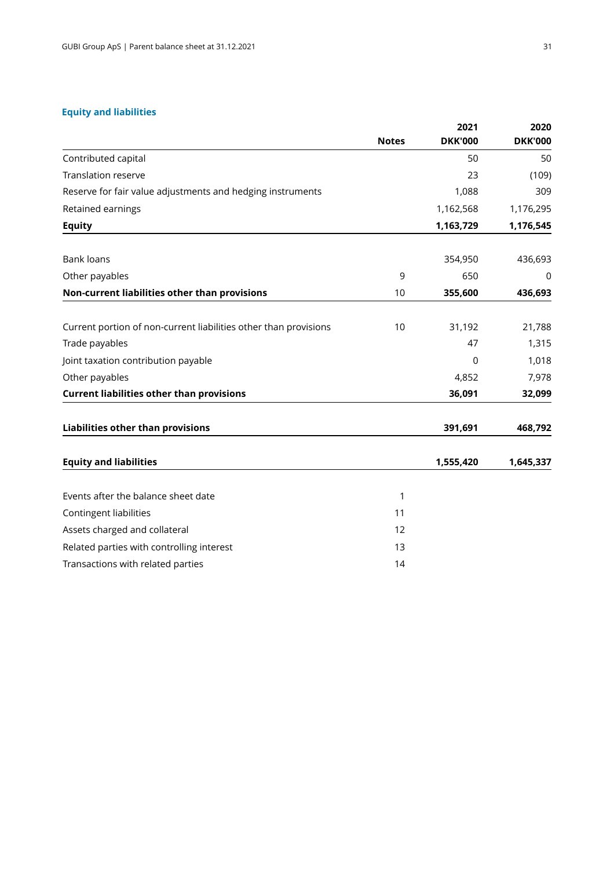#### **Equity and liabilities**

|                                                                  | <b>Notes</b> | 2021<br><b>DKK'000</b> | 2020<br><b>DKK'000</b> |
|------------------------------------------------------------------|--------------|------------------------|------------------------|
| Contributed capital                                              |              | 50                     | 50                     |
| <b>Translation reserve</b>                                       |              | 23                     | (109)                  |
| Reserve for fair value adjustments and hedging instruments       |              | 1,088                  | 309                    |
| Retained earnings                                                |              | 1,162,568              | 1,176,295              |
| <b>Equity</b>                                                    |              | 1,163,729              | 1,176,545              |
| <b>Bank loans</b>                                                |              | 354,950                | 436,693                |
| Other payables                                                   | 9            | 650                    | 0                      |
| Non-current liabilities other than provisions                    | 10           | 355,600                | 436,693                |
| Current portion of non-current liabilities other than provisions | 10           | 31,192                 | 21,788                 |
| Trade payables                                                   |              | 47                     | 1,315                  |
| Joint taxation contribution payable                              |              | $\mathbf 0$            | 1,018                  |
| Other payables                                                   |              | 4,852                  | 7,978                  |
| <b>Current liabilities other than provisions</b>                 |              | 36,091                 | 32,099                 |
| Liabilities other than provisions                                |              | 391,691                | 468,792                |
| <b>Equity and liabilities</b>                                    |              | 1,555,420              | 1,645,337              |
| Events after the balance sheet date                              | 1            |                        |                        |
| Contingent liabilities                                           | 11           |                        |                        |
| Assets charged and collateral                                    | 12           |                        |                        |
| Related parties with controlling interest                        | 13           |                        |                        |
| Transactions with related parties                                | 14           |                        |                        |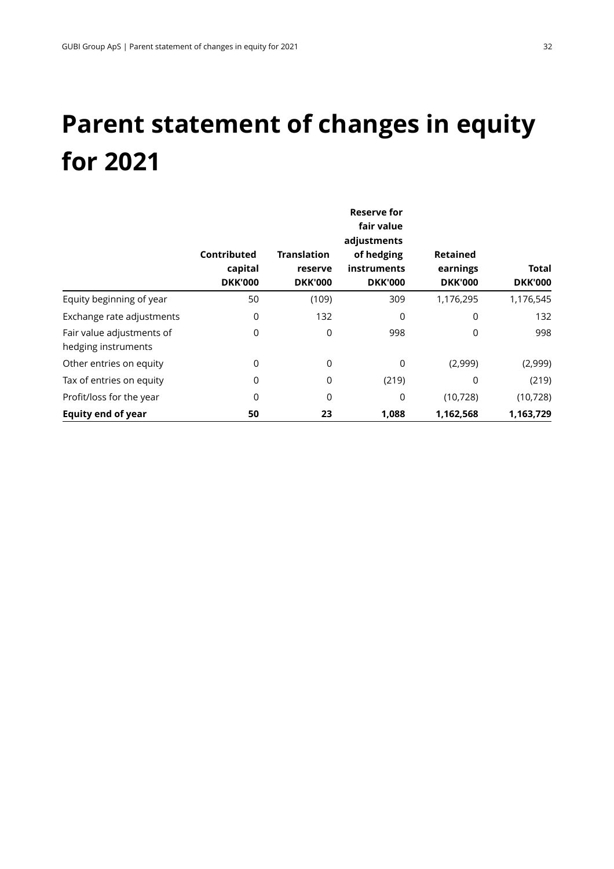## **Parent statement of changes in equity for 2021**

|                                                  |                                          |                                                 | Reserve for<br>fair value<br>adjustments    |                                               |                         |
|--------------------------------------------------|------------------------------------------|-------------------------------------------------|---------------------------------------------|-----------------------------------------------|-------------------------|
|                                                  | Contributed<br>capital<br><b>DKK'000</b> | <b>Translation</b><br>reserve<br><b>DKK'000</b> | of hedging<br>instruments<br><b>DKK'000</b> | <b>Retained</b><br>earnings<br><b>DKK'000</b> | Total<br><b>DKK'000</b> |
| Equity beginning of year                         | 50                                       | (109)                                           | 309                                         | 1,176,295                                     | 1,176,545               |
| Exchange rate adjustments                        | 0                                        | 132                                             | $\Omega$                                    | 0                                             | 132                     |
| Fair value adjustments of<br>hedging instruments | 0                                        | 0                                               | 998                                         | 0                                             | 998                     |
| Other entries on equity                          | 0                                        | 0                                               | 0                                           | (2,999)                                       | (2,999)                 |
| Tax of entries on equity                         | 0                                        | 0                                               | (219)                                       | 0                                             | (219)                   |
| Profit/loss for the year                         | 0                                        | 0                                               | 0                                           | (10, 728)                                     | (10, 728)               |
| <b>Equity end of year</b>                        | 50                                       | 23                                              | 1,088                                       | 1,162,568                                     | 1,163,729               |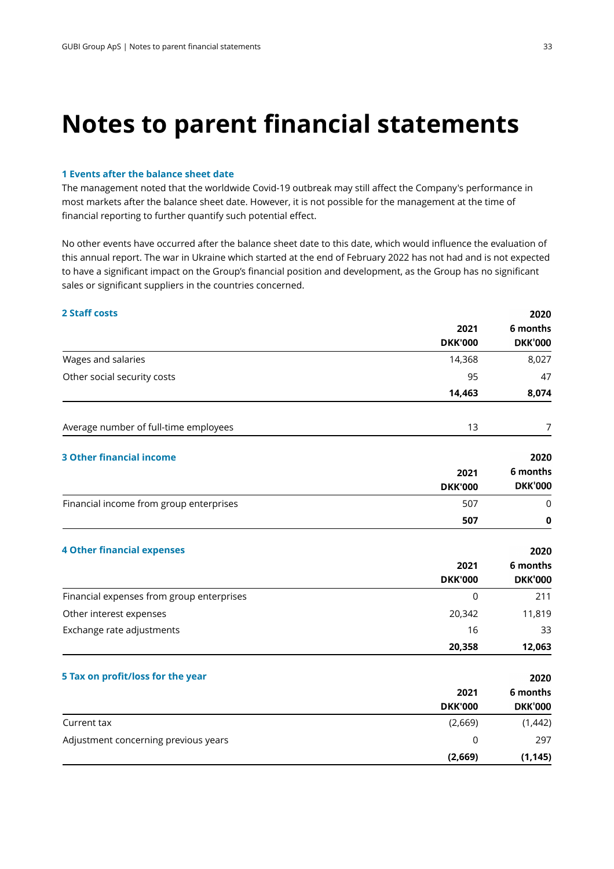### **Notes to parent financial statements**

#### **1 Events after the balance sheet date**

The management noted that the worldwide Covid-19 outbreak may still affect the Company's performance in most markets after the balance sheet date. However, it is not possible for the management at the time of financial reporting to further quantify such potential effect.

No other events have occurred after the balance sheet date to this date, which would influence the evaluation of this annual report. The war in Ukraine which started at the end of February 2022 has not had and is not expected to have a significant impact on the Group's financial position and development, as the Group has no significant sales or significant suppliers in the countries concerned.

#### **2 Staff costs**

|                                           | 2021<br><b>DKK'000</b> | 6 months<br><b>DKK'000</b> |
|-------------------------------------------|------------------------|----------------------------|
| Wages and salaries                        | 14,368                 | 8,027                      |
| Other social security costs               | 95                     | 47                         |
|                                           | 14,463                 | 8,074                      |
| Average number of full-time employees     | 13                     | 7                          |
| <b>3 Other financial income</b>           |                        | 2020                       |
|                                           | 2021                   | 6 months                   |
|                                           | <b>DKK'000</b>         | <b>DKK'000</b>             |
| Financial income from group enterprises   | 507                    | 0                          |
|                                           | 507                    | 0                          |
| <b>4 Other financial expenses</b>         |                        | 2020                       |
|                                           | 2021                   | 6 months                   |
|                                           | <b>DKK'000</b>         | <b>DKK'000</b>             |
| Financial expenses from group enterprises | $\Omega$               | 211                        |
| Other interest expenses                   | 20,342                 | 11,819                     |
| Exchange rate adjustments                 | 16                     | 33                         |
|                                           | 20,358                 | 12,063                     |
| 5 Tax on profit/loss for the year         |                        | 2020                       |
|                                           | 2021                   | 6 months                   |
|                                           | <b>DKK'000</b>         | <b>DKK'000</b>             |
| Current tax                               | (2,669)                | (1,442)                    |
| Adjustment concerning previous years      | 0                      | 297                        |
|                                           | (2,669)                | (1, 145)                   |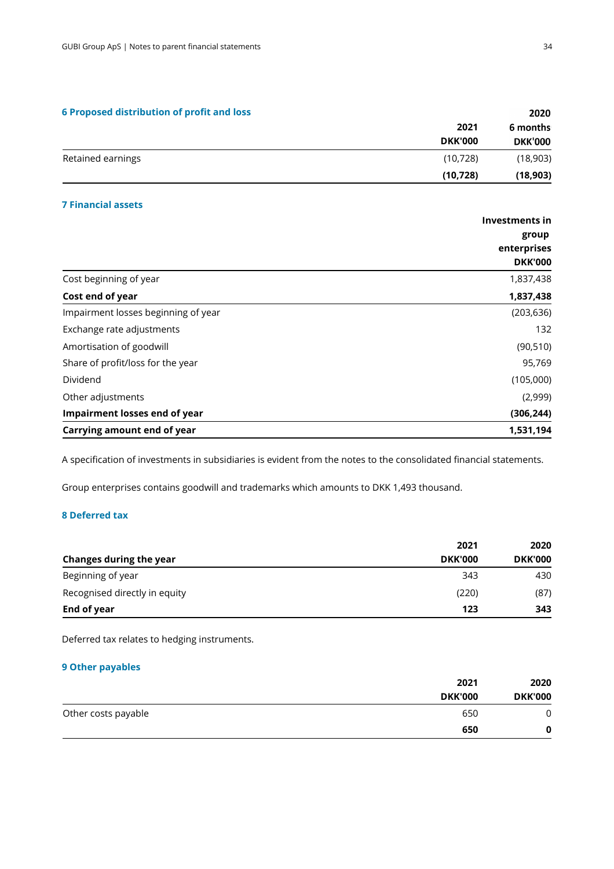|  |  | <b>6 Proposed distribution of profit and loss</b> |  |  |  |  |
|--|--|---------------------------------------------------|--|--|--|--|
|--|--|---------------------------------------------------|--|--|--|--|

| 2021           | 6 months       |
|----------------|----------------|
| <b>DKK'000</b> | <b>DKK'000</b> |
| (10, 728)      | (18,903)       |
| (10, 728)      | (18, 903)      |
|                |                |

#### **7 Financial assets**

|                                     | Investments in |
|-------------------------------------|----------------|
|                                     | group          |
|                                     | enterprises    |
|                                     | <b>DKK'000</b> |
| Cost beginning of year              | 1,837,438      |
| Cost end of year                    | 1,837,438      |
| Impairment losses beginning of year | (203, 636)     |
| Exchange rate adjustments           | 132            |
| Amortisation of goodwill            | (90, 510)      |
| Share of profit/loss for the year   | 95,769         |
| Dividend                            | (105,000)      |
| Other adjustments                   | (2,999)        |
| Impairment losses end of year       | (306, 244)     |
| Carrying amount end of year         | 1,531,194      |

A specification of investments in subsidiaries is evident from the notes to the consolidated financial statements.

Group enterprises contains goodwill and trademarks which amounts to DKK 1,493 thousand.

#### **8 Deferred tax**

|                                | 2021           | 2020           |
|--------------------------------|----------------|----------------|
| <b>Changes during the year</b> | <b>DKK'000</b> | <b>DKK'000</b> |
| Beginning of year              | 343            | 430            |
| Recognised directly in equity  | (220)          | (87)           |
| End of year                    | 123            | 343            |

Deferred tax relates to hedging instruments.

#### **9 Other payables**

|                     | 2021           | 2020           |
|---------------------|----------------|----------------|
|                     | <b>DKK'000</b> | <b>DKK'000</b> |
| Other costs payable | 650            | 0              |
|                     | 650            | 0              |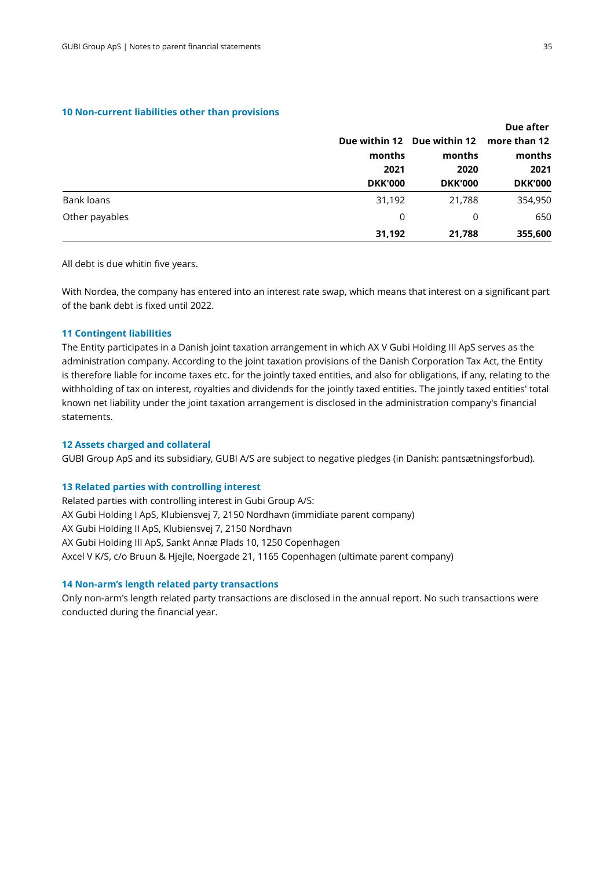#### **10 Non-current liabilities other than provisions**

|                |                |                                                                 | Due after                                        |  |
|----------------|----------------|-----------------------------------------------------------------|--------------------------------------------------|--|
|                |                | Due within 12 Due within 12<br>months<br>2020<br><b>DKK'000</b> | more than 12<br>months<br>2021<br><b>DKK'000</b> |  |
|                | months         |                                                                 |                                                  |  |
|                | 2021           |                                                                 |                                                  |  |
|                | <b>DKK'000</b> |                                                                 |                                                  |  |
| Bank loans     | 31,192         | 21,788                                                          | 354,950                                          |  |
| Other payables | 0              | 0                                                               | 650                                              |  |
|                | 31,192         | 21,788                                                          | 355,600                                          |  |

All debt is due whitin five years.

With Nordea, the company has entered into an interest rate swap, which means that interest on a significant part of the bank debt is fixed until 2022.

#### **11 Contingent liabilities**

The Entity participates in a Danish joint taxation arrangement in which AX V Gubi Holding III ApS serves as the administration company. According to the joint taxation provisions ofthe Danish Corporation Tax Act, the Entity is therefore liable for income taxes etc. for the jointly taxed entities, and also for obligations, if any, relating to the withholding of tax on interest, royalties and dividends for the jointly taxed entities. The jointly taxed entities' total known net liability under the joint taxation arrangement is disclosed in the administration company's financial statements.

#### **12 Assets charged and collateral**

GUBI Group ApS and its subsidiary, GUBI A/S are subject to negative pledges (in Danish: pantsætningsforbud).

#### **13 Related parties with controlling interest**

Related parties with controlling interest in Gubi Group A/S: AX Gubi Holding I ApS, Klubiensvej 7, 2150 Nordhavn(immidiate parent company) AX Gubi Holding II ApS, Klubiensvej 7, 2150 Nordhavn AX Gubi Holding III ApS, Sankt Annæ Plads 10, 1250 Copenhagen Axcel V K/S, c/o Bruun & Hjejle, Noergade 21, 1165 Copenhagen (ultimate parent company)

#### **14 Non-arm's length related party transactions**

Only non-arm's length related party transactions are disclosed in the annual report. No such transactions were conducted during the financial year.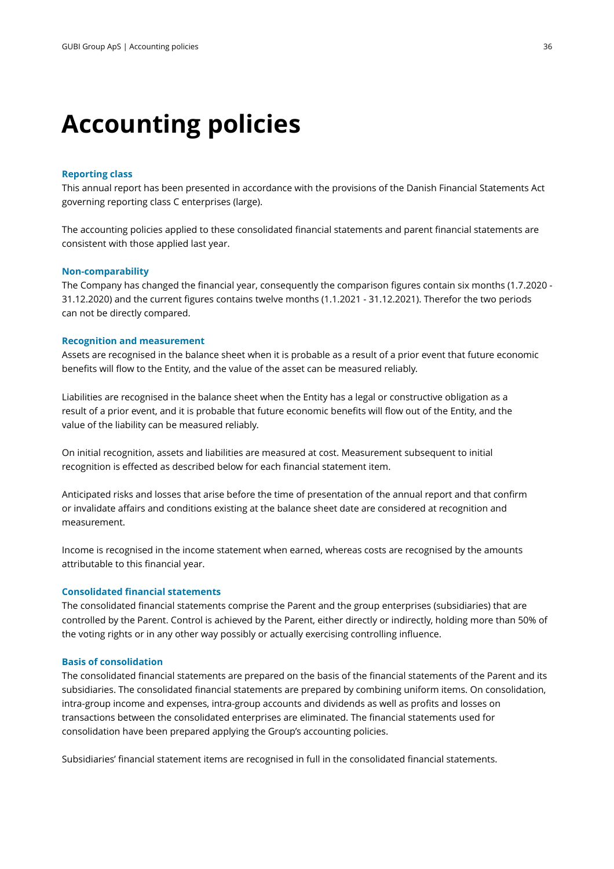### **Accounting policies**

#### **Reporting class**

This annual report has been presented in accordance with the provisions of the Danish Financial Statements Act governing reporting class C enterprises (large).

The accounting policies applied to these consolidated financial statements and parent financial statements are consistent with those applied last year.

#### **Non-comparability**

The Company has changed the financial year, consequently the comparison figures contain six months (1.7.2020 - 31.12.2020) and the current figures contains twelve months (1.1.2021 - 31.12.2021). Therefor the two periods can not be directly compared.

#### **Recognition and measurement**

Assets are recognised in the balance sheet when it is probable as a result of a prior event that future economic benefits will flow to the Entity, and the value of the asset can be measured reliably.

Liabilities are recognised in the balance sheet when the Entity has a legal or constructive obligation as a result of a prior event, and it is probable that future economic benefits will flow out of the Entity, and the value of the liability can be measured reliably.

On initial recognition, assets and liabilities are measured at cost. Measurement subsequent to initial recognition is effected as described below for each financial statement item.

Anticipated risks and losses that arise before the time of presentation of the annual report and that confirm or invalidate affairs and conditions existing at the balance sheet date are considered at recognition and measurement.

Income is recognised in the income statement when earned, whereas costs are recognised by the amounts attributable to this financial year.

#### **Consolidated financial statements**

The consolidated financial statements comprise the Parent and the group enterprises (subsidiaries) that are controlled by the Parent. Control is achieved by the Parent, either directly or indirectly, holding more than 50% of the voting rights or in any other way possibly or actually exercising controlling influence.

#### **Basis of consolidation**

The consolidated financial statements are prepared on the basis of the financial statements of the Parent and its subsidiaries. The consolidated financial statements are prepared by combining uniform items. On consolidation, intra-group income and expenses, intra-group accounts and dividends as well as profits and losses on transactions between the consolidated enterprises are eliminated. The financial statements used for consolidation have been prepared applying the Group's accounting policies.

Subsidiaries' financial statement items are recognised in full in the consolidated financial statements.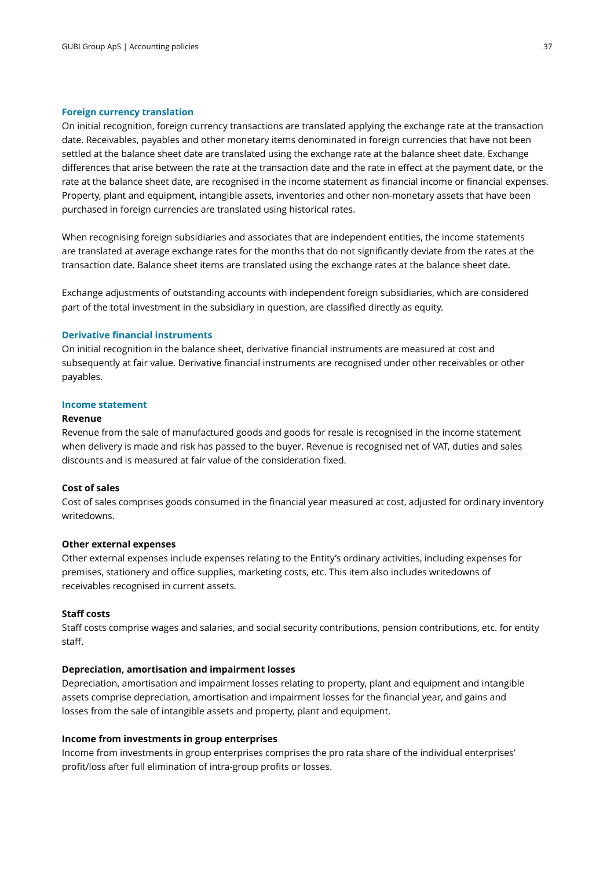#### **Foreign currency translation**

On initial recognition, foreign currency transactions are translated applying the exchange rate at the transaction date. Receivables, payables and other monetary items denominated in foreign currencies that have not been settled at the balance sheet date are translated using the exchange rate at the balance sheet date. Exchange differences that arise between the rate at the transaction date and the rate in effect at the payment date, or the rate at the balance sheet date, are recognised in the income statement as financial income or financial expenses. Property, plant and equipment, intangible assets, inventories and other non-monetary assets that have been purchased in foreign currencies are translated using historical rates.

When recognising foreign subsidiaries and associates that are independent entities, the income statements are translated at average exchange rates for the months that do not significantly deviate from the rates at the transaction date. Balance sheet items are translated using the exchange rates at the balance sheet date.

Exchange adjustments of outstanding accounts with independent foreign subsidiaries, which are considered part of the total investment in the subsidiary in question, are classified directly as equity.

#### **Derivative financial instruments**

On initial recognition in the balance sheet, derivative financial instruments are measured at cost and subsequently at fair value. Derivative financial instruments are recognised under other receivables or other payables.

#### **Income statement**

#### **Revenue**

Revenue from the sale of manufactured goods and goods for resale is recognised in the income statement when delivery is made and risk has passed to the buyer. Revenue is recognised net of VAT, duties and sales discounts and is measured at fair value of the consideration fixed.

#### **Cost of sales**

Cost of sales comprises goods consumed in the financial year measured at cost, adjusted for ordinaryinventory writedowns.

#### **Other external expenses**

Other external expenses include expenses relating to the Entity's ordinary activities, including expenses for premises, stationery and office supplies, marketing costs, etc. This item also includes writedowns of receivables recognised in current assets.

#### **Staff costs**

Staff costs comprise wages and salaries, and social security contributions, pension contributions, etc . for entity staff.

#### **Depreciation, amortisation and impairment losses**

Depreciation, amortisation and impairment losses relating to property, plant and equipment and intangible assets comprise depreciation, amortisation and impairment losses for the financial year, and gains and losses from the sale of intangible assets and property, plant and equipment.

#### **Income from investments in group enterprises**

Income from investments in group enterprises comprises the pro rata share of the individual enterprises' profit/loss after full elimination of intra-group profits or losses.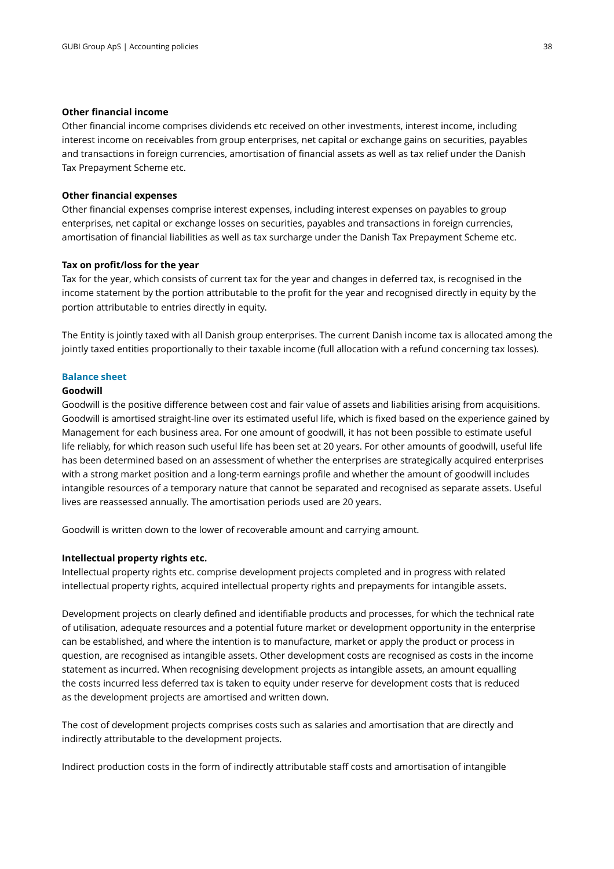#### **Other financial income**

Other financial income comprises dividends etc received on other investments, interest income, including interest income on receivables from group enterprises, net capital or exchange gains on securities, payables and transactions in foreign currencies, amortisation of financial assets as well as tax relief under the Danish Tax Prepayment Scheme etc.

#### **Other financial expenses**

Other financial expenses comprise interest expenses, including interest expenses on payables to group enterprises, net capital or exchange losses on securities, payables and transactions in foreign currencies, amortisationof financial liabilities as well as tax surcharge under the Danish Tax Prepayment Scheme etc.

#### **Tax on profit/loss for the year**

Tax for the year, which consists of current tax for the year and changes in deferred tax, is recognised in the income statement by the portion attributable to the profit for the year and recognised directly in equity bythe portion attributable to entries directly in equity.

The Entity is jointly taxed with all Danish group enterprises. The current Danish income tax is allocated among the jointly taxed entities proportionally to their taxable income (full allocation with a refund concerning tax losses).

#### **Balance sheet**

#### **Goodwill**

Goodwill is the positive difference between cost and fair value of assets and liabilities arising fromacquisitions. Goodwill is amortised straight-line over its estimated useful life, which is fixed based on the experience gained by Management for each business area. For one amount of goodwill, it has not been possible to estimate useful life reliably, for which reason such useful life has been set at 20 years. For other amounts of goodwill, useful life has been determined based on an assessment of whether the enterprises are strategically acquired enterprises with a strong market position and a long-term earnings profile and whether the amount of goodwill includes intangible resources of a temporary nature that cannot be separated and recognised as separate assets. Useful lives are reassessed annually. The amortisation periods used are 20 years.

Goodwill is written down to the lower of recoverable amount and carrying amount.

#### **Intellectual property rights etc.**

Intellectual property rights etc. comprise development projects completed and in progress with related intellectual property rights, acquired intellectual property rights and prepayments for intangible assets.

Development projects on clearly defined and identifiable products and processes, for which the technical rate of utilisation, adequate resources and a potential future market or development opportunity in the enterprise can be established, and where the intention is to manufacture, market or apply the product or process in question, are recognised as intangible assets. Other development costs are recognised as costs in the income statement as incurred. When recognising development projects as intangible assets, an amount equalling the costs incurred less deferred tax is taken to equity under reserve for development costs that is reduced as the development projects are amortised and written down.

The cost of development projects comprises costs such as salaries and amortisation that are directly and indirectly attributable to the development projects.

Indirect production costs in the form of indirectly attributable staff costs and amortisation of intangible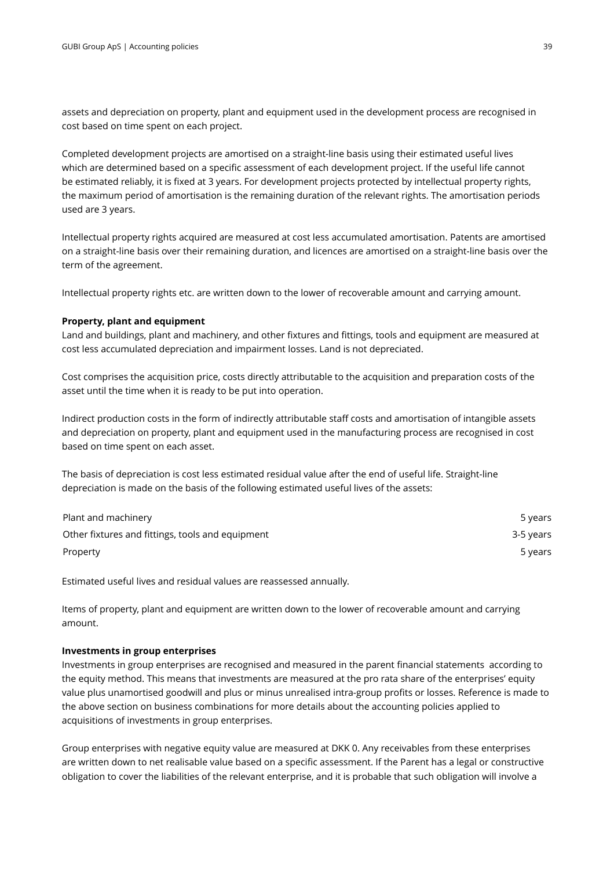assets and depreciation on property, plant and equipment used in the development process are recognisedin cost based on time spent on each project.

Completed development projects are amortised on a straight-line basis using their estimated useful lives which are determined based on a specific assessment of each development project. If the useful life cannot be estimated reliably, it is fixed at 3 years. For development projects protected by intellectual property rights, the maximum period of amortisation is the remaining duration of the relevant rights. The amortisation periods used are 3 years.

Intellectual property rights acquired are measured at cost less accumulated amortisation. Patents areamortised on a straight-line basis over their remaining duration, and licences are amortised on a straight-line basis over the term of the agreement.

Intellectual property rights etc. are written down to the lower of recoverable amount and carrying amount.

#### **Property, plant and equipment**

Land and buildings, plant and machinery, and other fixtures and fittings, tools and equipment are measured at cost less accumulated depreciation and impairment losses. Land is not depreciated.

Cost comprises the acquisition price, costs directly attributable to the acquisition and preparation costs ofthe asset until the time when it is ready to be put into operation.

Indirect production costs in the form of indirectly attributable staff costs and amortisation of intangible assets and depreciation on property, plant and equipment used in the manufacturing process are recognisedin cost based on time spent on each asset.

The basis of depreciation is cost less estimated residual value after the end of useful life. Straight-line depreciation is made on the basis of the following estimated useful lives of the assets:

| Plant and machinery                              | 5 years   |
|--------------------------------------------------|-----------|
| Other fixtures and fittings, tools and equipment | 3-5 years |
| Property                                         | 5 years   |

Estimated useful lives and residual values are reassessed annually.

Items of property, plant and equipment are written down to the lower of recoverable amount and carrying amount.

#### **Investments in group enterprises**

Investments in group enterprises are recognised and measured in the parent financial statements according to the equity method. This means that investments are measured at the pro rata share of the enterprises' equity value plus unamortised goodwill and plus or minus unrealised intra-group profits or losses. Reference is made to the above section on business combinations for more details about the accounting policies applied to acquisitions of investments in group enterprises.

Group enterprises with negative equity value are measured at DKK 0. Any receivables from these enterprises are written down to net realisable value based on a specific assessment. If the Parent has a legal or constructive obligation to cover the liabilities of the relevant enterprise, and it is probable that suchobligation will involve a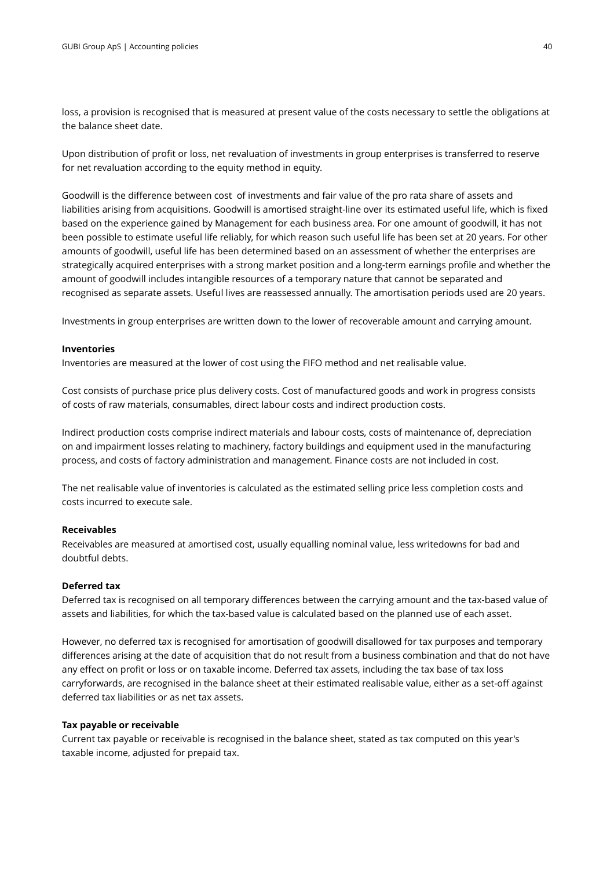loss, a provision is recognised that is measured at present value of the costs necessary to settle the obligations at the balance sheet date.

Upon distribution of profit or loss, net revaluation of investments in group enterprises is transferred toreserve for net revaluation according to the equity method in equity.

Goodwill is the difference between cost of investments and fair value of the pro rata share of assets and liabilities arising fromacquisitions. Goodwill is amortised straight-line over its estimated useful life, which is fixed based on the experience gained by Management for each business area. For one amount of goodwill, it has not been possible to estimate useful life reliably, for which reason such useful life has been set at 20 years. For other amounts of goodwill, useful life has been determined based on an assessment of whether the enterprises are strategically acquired enterprises with a strong market position and a long-term earnings profile and whether the amount of goodwill includes intangible resources of a temporary nature that cannot be separated and recognised as separate assets. Useful lives are reassessed annually. The amortisation periods used are 20 years.

Investments in group enterprises are written down to the lower of recoverable amount and carrying amount.

#### **Inventories**

Inventories are measured at the lower of cost using the FIFO method and net realisable value.

Cost consists of purchase price plus delivery costs. Cost of manufactured goods and work in progress consists of costs of raw materials, consumables, direct labour costs and indirect production costs.

Indirect production costs comprise indirect materials and labour costs, costs of maintenance of, depreciation on and impairment losses relating to machinery, factory buildings and equipment used in the manufacturing process, and costs of factory administration and management. Finance costs are not included in cost.

The net realisable value of inventories is calculated as the estimated selling price less completion costs and costs incurred to execute sale.

#### **Receivables**

Receivables are measured at amortised cost, usually equalling nominal value, less writedowns for bad and doubtful debts.

#### **Deferred tax**

Deferred tax is recognised on all temporary differences between the carrying amount and the tax-basedvalue of assets and liabilities, for which the tax-based value is calculated based on the planned use of each asset.

However, no deferred tax is recognised for amortisation of goodwill disallowed for tax purposes andtemporary differences arising at the date of acquisition that do not result from a business combination andthat do not have any effect on profit or loss or on taxable income. Deferred tax assets, including the tax base of tax loss carryforwards, are recognised in the balance sheet at their estimated realisable value, either as a set-off against deferred tax liabilities or as net tax assets.

#### **Tax payable or receivable**

Current tax payable or receivable is recognised in the balance sheet, stated as tax computed on this year's taxable income, adjusted for prepaid tax.